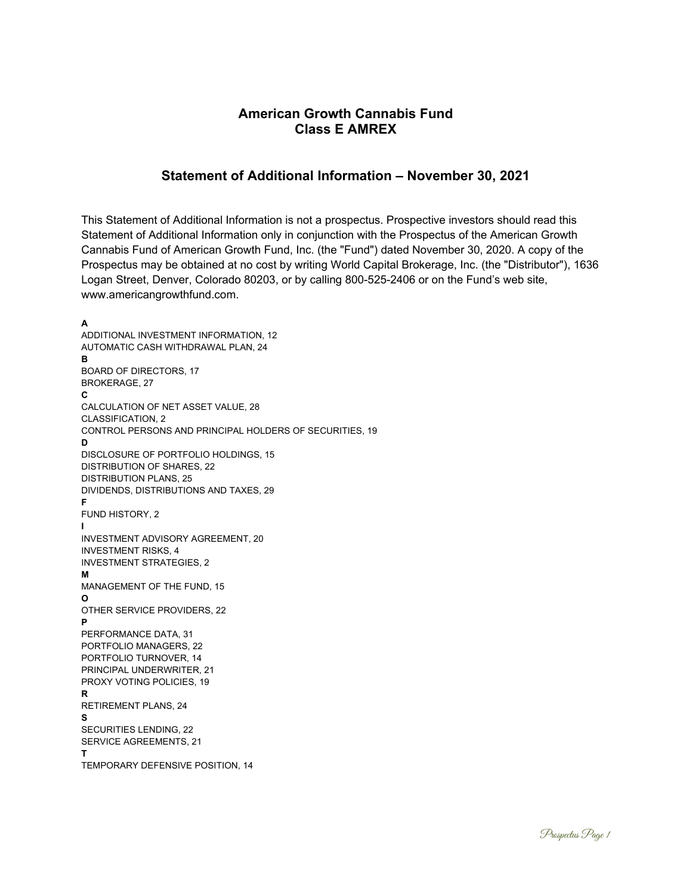# **American Growth Cannabis Fund Class E AMREX**

# **Statement of Additional Information – November 30, 2021**

This Statement of Additional Information is not a prospectus. Prospective investors should read this Statement of Additional Information only in conjunction with the Prospectus of the American Growth Cannabis Fund of American Growth Fund, Inc. (the "Fund") dated November 30, 2020. A copy of the Prospectus may be obtained at no cost by writing World Capital Brokerage, Inc. (the "Distributor"), 1636 Logan Street, Denver, Colorado 80203, or by calling 800-525-2406 or on the Fund's web site, www.americangrowthfund.com.

**A** ADDITIONAL INVESTMENT INFORMATION, 12 AUTOMATIC CASH WITHDRAWAL PLAN, 24 **B** BOARD OF DIRECTORS, 17 BROKERAGE, 27 **C** CALCULATION OF NET ASSET VALUE, 28 CLASSIFICATION, 2 CONTROL PERSONS AND PRINCIPAL HOLDERS OF SECURITIES, 19 **D** DISCLOSURE OF PORTFOLIO HOLDINGS, 15 DISTRIBUTION OF SHARES, 22 DISTRIBUTION PLANS, 25 DIVIDENDS, DISTRIBUTIONS AND TAXES, 29 **F** FUND HISTORY, 2 **I** INVESTMENT ADVISORY AGREEMENT, 20 INVESTMENT RISKS, 4 INVESTMENT STRATEGIES, 2 **M** MANAGEMENT OF THE FUND, 15 **O** OTHER SERVICE PROVIDERS, 22 **P** PERFORMANCE DATA, 31 PORTFOLIO MANAGERS, 22 PORTFOLIO TURNOVER, 14 PRINCIPAL UNDERWRITER, 21 PROXY VOTING POLICIES, 19 **R** RETIREMENT PLANS, 24 **S** SECURITIES LENDING, 22 SERVICE AGREEMENTS, 21 **T** TEMPORARY DEFENSIVE POSITION, 14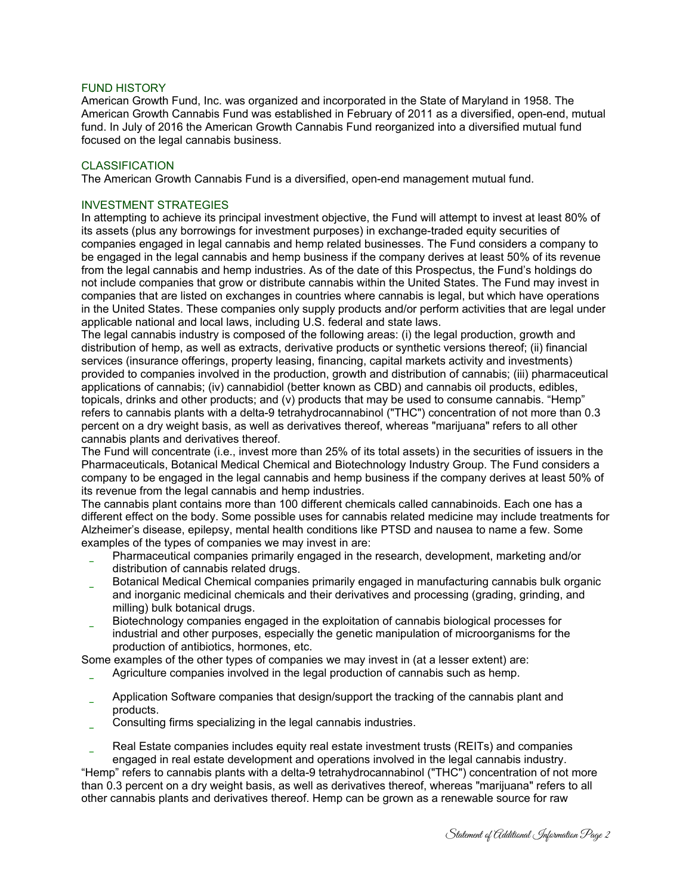#### FUND HISTORY

American Growth Fund, Inc. was organized and incorporated in the State of Maryland in 1958. The American Growth Cannabis Fund was established in February of 2011 as a diversified, open-end, mutual fund. In July of 2016 the American Growth Cannabis Fund reorganized into a diversified mutual fund focused on the legal cannabis business.

#### CLASSIFICATION

The American Growth Cannabis Fund is a diversified, open-end management mutual fund.

#### INVESTMENT STRATEGIES

In attempting to achieve its principal investment objective, the Fund will attempt to invest at least 80% of its assets (plus any borrowings for investment purposes) in exchange-traded equity securities of companies engaged in legal cannabis and hemp related businesses. The Fund considers a company to be engaged in the legal cannabis and hemp business if the company derives at least 50% of its revenue from the legal cannabis and hemp industries. As of the date of this Prospectus, the Fund's holdings do not include companies that grow or distribute cannabis within the United States. The Fund may invest in companies that are listed on exchanges in countries where cannabis is legal, but which have operations in the United States. These companies only supply products and/or perform activities that are legal under applicable national and local laws, including U.S. federal and state laws.

The legal cannabis industry is composed of the following areas: (i) the legal production, growth and distribution of hemp, as well as extracts, derivative products or synthetic versions thereof; (ii) financial services (insurance offerings, property leasing, financing, capital markets activity and investments) provided to companies involved in the production, growth and distribution of cannabis; (iii) pharmaceutical applications of cannabis; (iv) cannabidiol (better known as CBD) and cannabis oil products, edibles, topicals, drinks and other products; and (v) products that may be used to consume cannabis. "Hemp" refers to cannabis plants with a delta-9 tetrahydrocannabinol ("THC") concentration of not more than 0.3 percent on a dry weight basis, as well as derivatives thereof, whereas "marijuana" refers to all other cannabis plants and derivatives thereof.

The Fund will concentrate (i.e., invest more than 25% of its total assets) in the securities of issuers in the Pharmaceuticals, Botanical Medical Chemical and Biotechnology Industry Group. The Fund considers a company to be engaged in the legal cannabis and hemp business if the company derives at least 50% of its revenue from the legal cannabis and hemp industries.

The cannabis plant contains more than 100 different chemicals called cannabinoids. Each one has a different effect on the body. Some possible uses for cannabis related medicine may include treatments for Alzheimer's disease, epilepsy, mental health conditions like PTSD and nausea to name a few. Some examples of the types of companies we may invest in are:

- Pharmaceutical companies primarily engaged in the research, development, marketing and/or distribution of cannabis related drugs.
- Botanical Medical Chemical companies primarily engaged in manufacturing cannabis bulk organic and inorganic medicinal chemicals and their derivatives and processing (grading, grinding, and milling) bulk botanical drugs.
- Biotechnology companies engaged in the exploitation of cannabis biological processes for
- industrial and other purposes, especially the genetic manipulation of microorganisms for the production of antibiotics, hormones, etc.

Some examples of the other types of companies we may invest in (at a lesser extent) are:

- Agriculture companies involved in the legal production of cannabis such as hemp.
- Application Software companies that design/support the tracking of the cannabis plant and products.
- Consulting firms specializing in the legal cannabis industries.

Real Estate companies includes equity real estate investment trusts (REITs) and companies engaged in real estate development and operations involved in the legal cannabis industry.

"Hemp" refers to cannabis plants with a delta-9 tetrahydrocannabinol ("THC") concentration of not more than 0.3 percent on a dry weight basis, as well as derivatives thereof, whereas "marijuana" refers to all other cannabis plants and derivatives thereof. Hemp can be grown as a renewable source for raw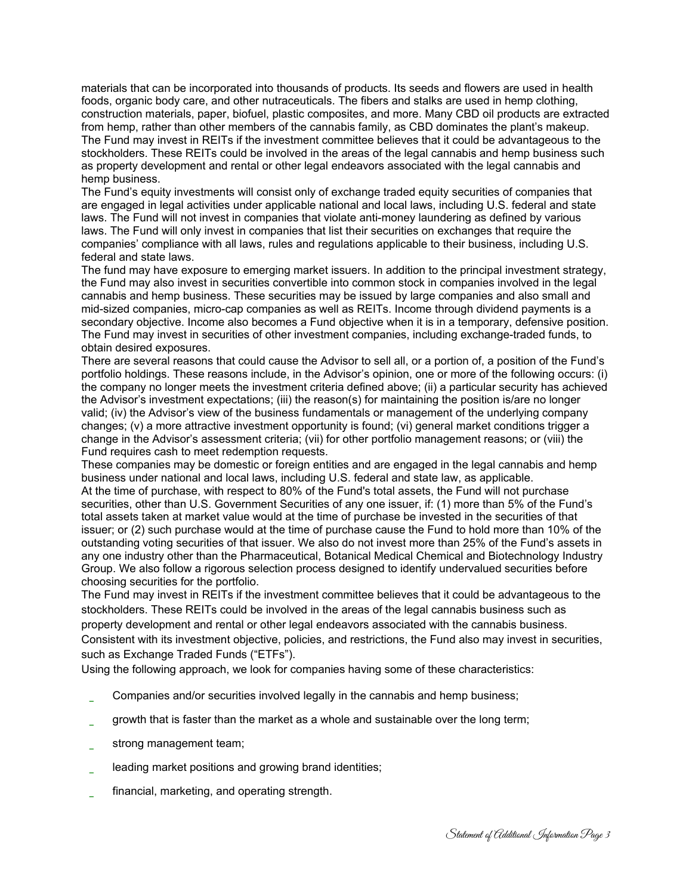materials that can be incorporated into thousands of products. Its seeds and flowers are used in health foods, organic body care, and other nutraceuticals. The fibers and stalks are used in hemp clothing, construction materials, paper, biofuel, plastic composites, and more. Many CBD oil products are extracted from hemp, rather than other members of the cannabis family, as CBD dominates the plant's makeup. The Fund may invest in REITs if the investment committee believes that it could be advantageous to the stockholders. These REITs could be involved in the areas of the legal cannabis and hemp business such as property development and rental or other legal endeavors associated with the legal cannabis and hemp business.

The Fund's equity investments will consist only of exchange traded equity securities of companies that are engaged in legal activities under applicable national and local laws, including U.S. federal and state laws. The Fund will not invest in companies that violate anti-money laundering as defined by various laws. The Fund will only invest in companies that list their securities on exchanges that require the companies' compliance with all laws, rules and regulations applicable to their business, including U.S. federal and state laws.

The fund may have exposure to emerging market issuers. In addition to the principal investment strategy, the Fund may also invest in securities convertible into common stock in companies involved in the legal cannabis and hemp business. These securities may be issued by large companies and also small and mid-sized companies, micro-cap companies as well as REITs. Income through dividend payments is a secondary objective. Income also becomes a Fund objective when it is in a temporary, defensive position. The Fund may invest in securities of other investment companies, including exchange-traded funds, to obtain desired exposures.

There are several reasons that could cause the Advisor to sell all, or a portion of, a position of the Fund's portfolio holdings. These reasons include, in the Advisor's opinion, one or more of the following occurs: (i) the company no longer meets the investment criteria defined above; (ii) a particular security has achieved the Advisor's investment expectations; (iii) the reason(s) for maintaining the position is/are no longer valid; (iv) the Advisor's view of the business fundamentals or management of the underlying company changes; (v) a more attractive investment opportunity is found; (vi) general market conditions trigger a change in the Advisor's assessment criteria; (vii) for other portfolio management reasons; or (viii) the Fund requires cash to meet redemption requests.

These companies may be domestic or foreign entities and are engaged in the legal cannabis and hemp business under national and local laws, including U.S. federal and state law, as applicable. At the time of purchase, with respect to 80% of the Fund's total assets, the Fund will not purchase securities, other than U.S. Government Securities of any one issuer, if: (1) more than 5% of the Fund's total assets taken at market value would at the time of purchase be invested in the securities of that issuer; or (2) such purchase would at the time of purchase cause the Fund to hold more than 10% of the outstanding voting securities of that issuer. We also do not invest more than 25% of the Fund's assets in any one industry other than the Pharmaceutical, Botanical Medical Chemical and Biotechnology Industry Group. We also follow a rigorous selection process designed to identify undervalued securities before choosing securities for the portfolio.

The Fund may invest in REITs if the investment committee believes that it could be advantageous to the stockholders. These REITs could be involved in the areas of the legal cannabis business such as property development and rental or other legal endeavors associated with the cannabis business. Consistent with its investment objective, policies, and restrictions, the Fund also may invest in securities, such as Exchange Traded Funds ("ETFs").

Using the following approach, we look for companies having some of these characteristics:

- Companies and/or securities involved legally in the cannabis and hemp business;
- growth that is faster than the market as a whole and sustainable over the long term;
- strong management team;
- leading market positions and growing brand identities;
- financial, marketing, and operating strength.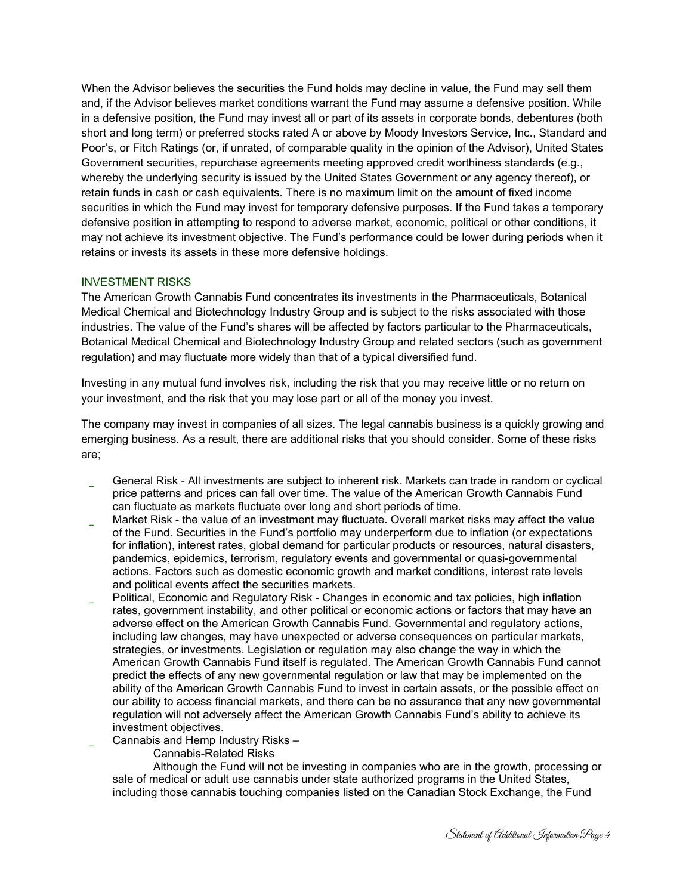When the Advisor believes the securities the Fund holds may decline in value, the Fund may sell them and, if the Advisor believes market conditions warrant the Fund may assume a defensive position. While in a defensive position, the Fund may invest all or part of its assets in corporate bonds, debentures (both short and long term) or preferred stocks rated A or above by Moody Investors Service, Inc., Standard and Poor's, or Fitch Ratings (or, if unrated, of comparable quality in the opinion of the Advisor), United States Government securities, repurchase agreements meeting approved credit worthiness standards (e.g., whereby the underlying security is issued by the United States Government or any agency thereof), or retain funds in cash or cash equivalents. There is no maximum limit on the amount of fixed income securities in which the Fund may invest for temporary defensive purposes. If the Fund takes a temporary defensive position in attempting to respond to adverse market, economic, political or other conditions, it may not achieve its investment objective. The Fund's performance could be lower during periods when it retains or invests its assets in these more defensive holdings.

### INVESTMENT RISKS

The American Growth Cannabis Fund concentrates its investments in the Pharmaceuticals, Botanical Medical Chemical and Biotechnology Industry Group and is subject to the risks associated with those industries. The value of the Fund's shares will be affected by factors particular to the Pharmaceuticals, Botanical Medical Chemical and Biotechnology Industry Group and related sectors (such as government regulation) and may fluctuate more widely than that of a typical diversified fund.

Investing in any mutual fund involves risk, including the risk that you may receive little or no return on your investment, and the risk that you may lose part or all of the money you invest.

The company may invest in companies of all sizes. The legal cannabis business is a quickly growing and emerging business. As a result, there are additional risks that you should consider. Some of these risks are;

- General Risk All investments are subject to inherent risk. Markets can trade in random or cyclical price patterns and prices can fall over time. The value of the American Growth Cannabis Fund can fluctuate as markets fluctuate over long and short periods of time.
- Market Risk the value of an investment may fluctuate. Overall market risks may affect the value of the Fund. Securities in the Fund's portfolio may underperform due to inflation (or expectations for inflation), interest rates, global demand for particular products or resources, natural disasters, pandemics, epidemics, terrorism, regulatory events and governmental or quasi-governmental actions. Factors such as domestic economic growth and market conditions, interest rate levels and political events affect the securities markets.
- Political, Economic and Regulatory Risk Changes in economic and tax policies, high inflation rates, government instability, and other political or economic actions or factors that may have an adverse effect on the American Growth Cannabis Fund. Governmental and regulatory actions, including law changes, may have unexpected or adverse consequences on particular markets, strategies, or investments. Legislation or regulation may also change the way in which the American Growth Cannabis Fund itself is regulated. The American Growth Cannabis Fund cannot predict the effects of any new governmental regulation or law that may be implemented on the ability of the American Growth Cannabis Fund to invest in certain assets, or the possible effect on our ability to access financial markets, and there can be no assurance that any new governmental regulation will not adversely affect the American Growth Cannabis Fund's ability to achieve its investment objectives.
	- Cannabis and Hemp Industry Risks
		- Cannabis-Related Risks

 Although the Fund will not be investing in companies who are in the growth, processing or sale of medical or adult use cannabis under state authorized programs in the United States, including those cannabis touching companies listed on the Canadian Stock Exchange, the Fund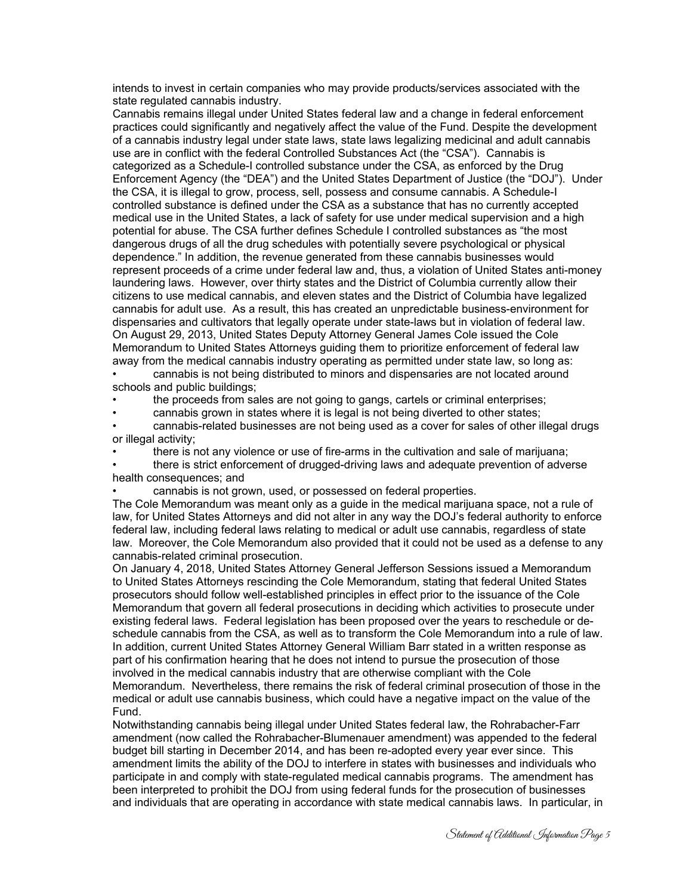intends to invest in certain companies who may provide products/services associated with the state regulated cannabis industry.

Cannabis remains illegal under United States federal law and a change in federal enforcement practices could significantly and negatively affect the value of the Fund. Despite the development of a cannabis industry legal under state laws, state laws legalizing medicinal and adult cannabis use are in conflict with the federal Controlled Substances Act (the "CSA"). Cannabis is categorized as a Schedule-I controlled substance under the CSA, as enforced by the Drug Enforcement Agency (the "DEA") and the United States Department of Justice (the "DOJ"). Under the CSA, it is illegal to grow, process, sell, possess and consume cannabis. A Schedule-I controlled substance is defined under the CSA as a substance that has no currently accepted medical use in the United States, a lack of safety for use under medical supervision and a high potential for abuse. The CSA further defines Schedule I controlled substances as "the most dangerous drugs of all the drug schedules with potentially severe psychological or physical dependence." In addition, the revenue generated from these cannabis businesses would represent proceeds of a crime under federal law and, thus, a violation of United States anti-money laundering laws. However, over thirty states and the District of Columbia currently allow their citizens to use medical cannabis, and eleven states and the District of Columbia have legalized cannabis for adult use. As a result, this has created an unpredictable business-environment for dispensaries and cultivators that legally operate under state-laws but in violation of federal law. On August 29, 2013, United States Deputy Attorney General James Cole issued the Cole Memorandum to United States Attorneys guiding them to prioritize enforcement of federal law away from the medical cannabis industry operating as permitted under state law, so long as:

• cannabis is not being distributed to minors and dispensaries are not located around schools and public buildings;

• the proceeds from sales are not going to gangs, cartels or criminal enterprises;

• cannabis grown in states where it is legal is not being diverted to other states;

• cannabis-related businesses are not being used as a cover for sales of other illegal drugs or illegal activity;

• there is not any violence or use of fire-arms in the cultivation and sale of marijuana;

• there is strict enforcement of drugged-driving laws and adequate prevention of adverse health consequences; and

• cannabis is not grown, used, or possessed on federal properties.

The Cole Memorandum was meant only as a guide in the medical marijuana space, not a rule of law, for United States Attorneys and did not alter in any way the DOJ's federal authority to enforce federal law, including federal laws relating to medical or adult use cannabis, regardless of state law. Moreover, the Cole Memorandum also provided that it could not be used as a defense to any cannabis-related criminal prosecution.

On January 4, 2018, United States Attorney General Jefferson Sessions issued a Memorandum to United States Attorneys rescinding the Cole Memorandum, stating that federal United States prosecutors should follow well-established principles in effect prior to the issuance of the Cole Memorandum that govern all federal prosecutions in deciding which activities to prosecute under existing federal laws. Federal legislation has been proposed over the years to reschedule or deschedule cannabis from the CSA, as well as to transform the Cole Memorandum into a rule of law. In addition, current United States Attorney General William Barr stated in a written response as part of his confirmation hearing that he does not intend to pursue the prosecution of those involved in the medical cannabis industry that are otherwise compliant with the Cole Memorandum. Nevertheless, there remains the risk of federal criminal prosecution of those in the medical or adult use cannabis business, which could have a negative impact on the value of the Fund.

Notwithstanding cannabis being illegal under United States federal law, the Rohrabacher-Farr amendment (now called the Rohrabacher-Blumenauer amendment) was appended to the federal budget bill starting in December 2014, and has been re-adopted every year ever since. This amendment limits the ability of the DOJ to interfere in states with businesses and individuals who participate in and comply with state-regulated medical cannabis programs. The amendment has been interpreted to prohibit the DOJ from using federal funds for the prosecution of businesses and individuals that are operating in accordance with state medical cannabis laws. In particular, in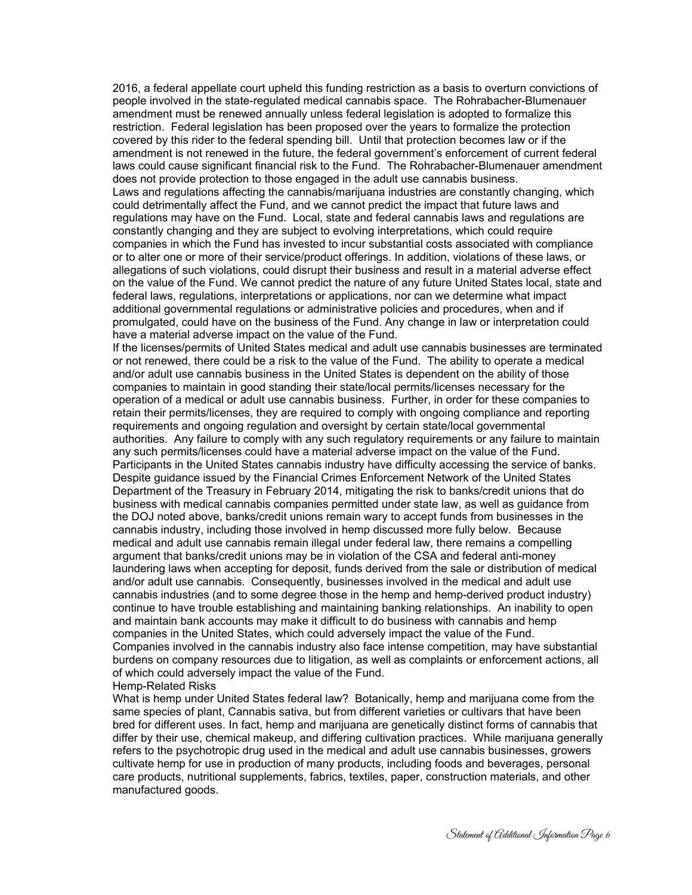2016, a federal appellate court upheld this funding restriction as a basis to overturn convictions of people involved in the state-regulated medical cannabis space. The Rohrabacher-Blumenauer amendment must be renewed annually unless federal legislation is adopted to formalize this restriction. Federal legislation has been proposed over the years to formalize the protection covered by this rider to the federal spending bill. Until that protection becomes law or if the amendment is not renewed in the future, the federal government's enforcement of current federal laws could cause significant financial risk to the Fund. The Rohrabacher-Blumenauer amendment does not provide protection to those engaged in the adult use cannabis business.

Laws and regulations affecting the cannabis/marijuana industries are constantly changing, which could detrimentally affect the Fund, and we cannot predict the impact that future laws and regulations may have on the Fund. Local, state and federal cannabis laws and regulations are constantly changing and they are subject to evolving interpretations, which could require companies in which the Fund has invested to incur substantial costs associated with compliance or to alter one or more of their service/product offerings. In addition, violations of these laws, or allegations of such violations, could disrupt their business and result in a material adverse effect on the value of the Fund. We cannot predict the nature of any future United States local, state and federal laws, regulations, interpretations or applications, nor can we determine what impact additional governmental regulations or administrative policies and procedures, when and if promulgated, could have on the business of the Fund. Any change in law or interpretation could have a material adverse impact on the value of the Fund.

If the licenses/permits of United States medical and adult use cannabis businesses are terminated or not renewed, there could be a risk to the value of the Fund. The ability to operate a medical and/or adult use cannabis business in the United States is dependent on the ability of those companies to maintain in good standing their state/local permits/licenses necessary for the operation of a medical or adult use cannabis business. Further, in order for these companies to retain their permits/licenses, they are required to comply with ongoing compliance and reporting requirements and ongoing regulation and oversight by certain state/local governmental authorities. Any failure to comply with any such regulatory requirements or any failure to maintain any such permits/licenses could have a material adverse impact on the value of the Fund. Participants in the United States cannabis industry have difficulty accessing the service of banks. Despite guidance issued by the Financial Crimes Enforcement Network of the United States Department of the Treasury in February 2014, mitigating the risk to banks/credit unions that do business with medical cannabis companies permitted under state law, as well as guidance from the DOJ noted above, banks/credit unions remain wary to accept funds from businesses in the cannabis industry, including those involved in hemp discussed more fully below. Because medical and adult use cannabis remain illegal under federal law, there remains a compelling argument that banks/credit unions may be in violation of the CSA and federal anti-money laundering laws when accepting for deposit, funds derived from the sale or distribution of medical and/or adult use cannabis. Consequently, businesses involved in the medical and adult use cannabis industries (and to some degree those in the hemp and hemp-derived product industry) continue to have trouble establishing and maintaining banking relationships. An inability to open and maintain bank accounts may make it difficult to do business with cannabis and hemp companies in the United States, which could adversely impact the value of the Fund. Companies involved in the cannabis industry also face intense competition, may have substantial burdens on company resources due to litigation, as well as complaints or enforcement actions, all of which could adversely impact the value of the Fund.

Hemp-Related Risks

What is hemp under United States federal law? Botanically, hemp and marijuana come from the same species of plant, Cannabis sativa, but from different varieties or cultivars that have been bred for different uses. In fact, hemp and marijuana are genetically distinct forms of cannabis that differ by their use, chemical makeup, and differing cultivation practices. While marijuana generally refers to the psychotropic drug used in the medical and adult use cannabis businesses, growers cultivate hemp for use in production of many products, including foods and beverages, personal care products, nutritional supplements, fabrics, textiles, paper, construction materials, and other manufactured goods.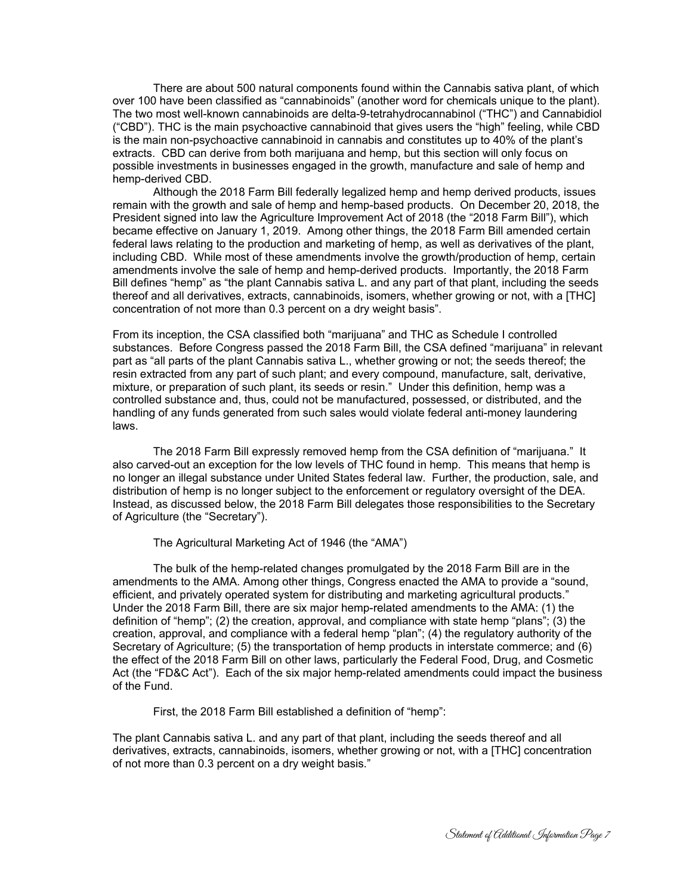There are about 500 natural components found within the Cannabis sativa plant, of which over 100 have been classified as "cannabinoids" (another word for chemicals unique to the plant). The two most well-known cannabinoids are delta-9-tetrahydrocannabinol ("THC") and Cannabidiol ("CBD"). THC is the main psychoactive cannabinoid that gives users the "high" feeling, while CBD is the main non-psychoactive cannabinoid in cannabis and constitutes up to 40% of the plant's extracts. CBD can derive from both marijuana and hemp, but this section will only focus on possible investments in businesses engaged in the growth, manufacture and sale of hemp and hemp-derived CBD.

 Although the 2018 Farm Bill federally legalized hemp and hemp derived products, issues remain with the growth and sale of hemp and hemp-based products. On December 20, 2018, the President signed into law the Agriculture Improvement Act of 2018 (the "2018 Farm Bill"), which became effective on January 1, 2019. Among other things, the 2018 Farm Bill amended certain federal laws relating to the production and marketing of hemp, as well as derivatives of the plant, including CBD. While most of these amendments involve the growth/production of hemp, certain amendments involve the sale of hemp and hemp-derived products. Importantly, the 2018 Farm Bill defines "hemp" as "the plant Cannabis sativa L. and any part of that plant, including the seeds thereof and all derivatives, extracts, cannabinoids, isomers, whether growing or not, with a [THC] concentration of not more than 0.3 percent on a dry weight basis".

From its inception, the CSA classified both "marijuana" and THC as Schedule I controlled substances. Before Congress passed the 2018 Farm Bill, the CSA defined "marijuana" in relevant part as "all parts of the plant Cannabis sativa L., whether growing or not; the seeds thereof; the resin extracted from any part of such plant; and every compound, manufacture, salt, derivative, mixture, or preparation of such plant, its seeds or resin." Under this definition, hemp was a controlled substance and, thus, could not be manufactured, possessed, or distributed, and the handling of any funds generated from such sales would violate federal anti-money laundering laws.

 The 2018 Farm Bill expressly removed hemp from the CSA definition of "marijuana." It also carved-out an exception for the low levels of THC found in hemp. This means that hemp is no longer an illegal substance under United States federal law. Further, the production, sale, and distribution of hemp is no longer subject to the enforcement or regulatory oversight of the DEA. Instead, as discussed below, the 2018 Farm Bill delegates those responsibilities to the Secretary of Agriculture (the "Secretary").

The Agricultural Marketing Act of 1946 (the "AMA")

 The bulk of the hemp-related changes promulgated by the 2018 Farm Bill are in the amendments to the AMA. Among other things, Congress enacted the AMA to provide a "sound, efficient, and privately operated system for distributing and marketing agricultural products." Under the 2018 Farm Bill, there are six major hemp-related amendments to the AMA: (1) the definition of "hemp"; (2) the creation, approval, and compliance with state hemp "plans"; (3) the creation, approval, and compliance with a federal hemp "plan"; (4) the regulatory authority of the Secretary of Agriculture; (5) the transportation of hemp products in interstate commerce; and (6) the effect of the 2018 Farm Bill on other laws, particularly the Federal Food, Drug, and Cosmetic Act (the "FD&C Act"). Each of the six major hemp-related amendments could impact the business of the Fund.

First, the 2018 Farm Bill established a definition of "hemp":

The plant Cannabis sativa L. and any part of that plant, including the seeds thereof and all derivatives, extracts, cannabinoids, isomers, whether growing or not, with a [THC] concentration of not more than 0.3 percent on a dry weight basis."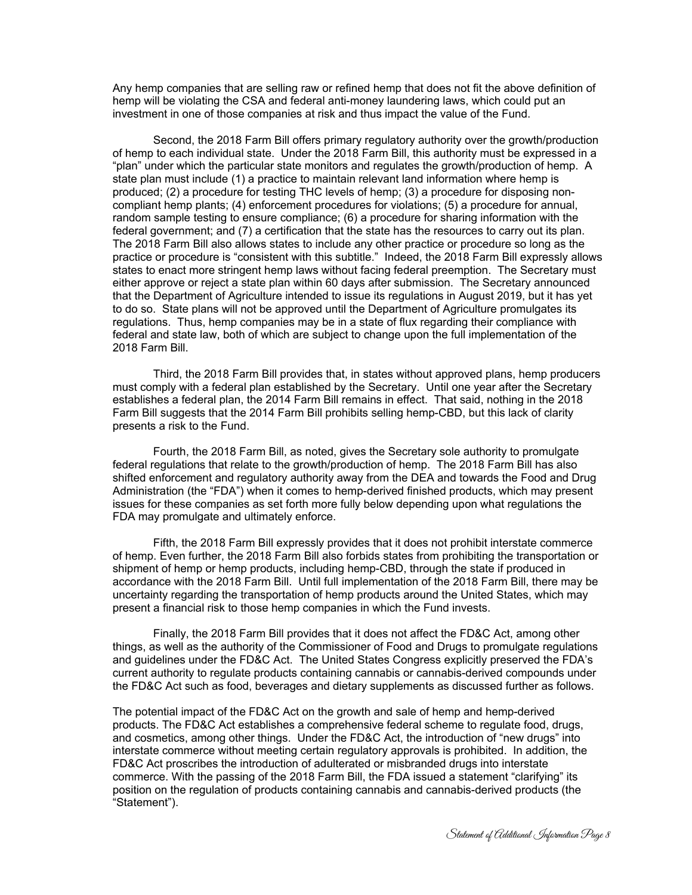Any hemp companies that are selling raw or refined hemp that does not fit the above definition of hemp will be violating the CSA and federal anti-money laundering laws, which could put an investment in one of those companies at risk and thus impact the value of the Fund.

 Second, the 2018 Farm Bill offers primary regulatory authority over the growth/production of hemp to each individual state. Under the 2018 Farm Bill, this authority must be expressed in a "plan" under which the particular state monitors and regulates the growth/production of hemp. A state plan must include (1) a practice to maintain relevant land information where hemp is produced; (2) a procedure for testing THC levels of hemp; (3) a procedure for disposing noncompliant hemp plants; (4) enforcement procedures for violations; (5) a procedure for annual, random sample testing to ensure compliance; (6) a procedure for sharing information with the federal government; and (7) a certification that the state has the resources to carry out its plan. The 2018 Farm Bill also allows states to include any other practice or procedure so long as the practice or procedure is "consistent with this subtitle." Indeed, the 2018 Farm Bill expressly allows states to enact more stringent hemp laws without facing federal preemption. The Secretary must either approve or reject a state plan within 60 days after submission. The Secretary announced that the Department of Agriculture intended to issue its regulations in August 2019, but it has yet to do so. State plans will not be approved until the Department of Agriculture promulgates its regulations. Thus, hemp companies may be in a state of flux regarding their compliance with federal and state law, both of which are subject to change upon the full implementation of the 2018 Farm Bill.

 Third, the 2018 Farm Bill provides that, in states without approved plans, hemp producers must comply with a federal plan established by the Secretary. Until one year after the Secretary establishes a federal plan, the 2014 Farm Bill remains in effect. That said, nothing in the 2018 Farm Bill suggests that the 2014 Farm Bill prohibits selling hemp-CBD, but this lack of clarity presents a risk to the Fund.

 Fourth, the 2018 Farm Bill, as noted, gives the Secretary sole authority to promulgate federal regulations that relate to the growth/production of hemp. The 2018 Farm Bill has also shifted enforcement and regulatory authority away from the DEA and towards the Food and Drug Administration (the "FDA") when it comes to hemp-derived finished products, which may present issues for these companies as set forth more fully below depending upon what regulations the FDA may promulgate and ultimately enforce.

 Fifth, the 2018 Farm Bill expressly provides that it does not prohibit interstate commerce of hemp. Even further, the 2018 Farm Bill also forbids states from prohibiting the transportation or shipment of hemp or hemp products, including hemp-CBD, through the state if produced in accordance with the 2018 Farm Bill. Until full implementation of the 2018 Farm Bill, there may be uncertainty regarding the transportation of hemp products around the United States, which may present a financial risk to those hemp companies in which the Fund invests.

 Finally, the 2018 Farm Bill provides that it does not affect the FD&C Act, among other things, as well as the authority of the Commissioner of Food and Drugs to promulgate regulations and guidelines under the FD&C Act. The United States Congress explicitly preserved the FDA's current authority to regulate products containing cannabis or cannabis-derived compounds under the FD&C Act such as food, beverages and dietary supplements as discussed further as follows.

The potential impact of the FD&C Act on the growth and sale of hemp and hemp-derived products. The FD&C Act establishes a comprehensive federal scheme to regulate food, drugs, and cosmetics, among other things. Under the FD&C Act, the introduction of "new drugs" into interstate commerce without meeting certain regulatory approvals is prohibited. In addition, the FD&C Act proscribes the introduction of adulterated or misbranded drugs into interstate commerce. With the passing of the 2018 Farm Bill, the FDA issued a statement "clarifying" its position on the regulation of products containing cannabis and cannabis-derived products (the "Statement").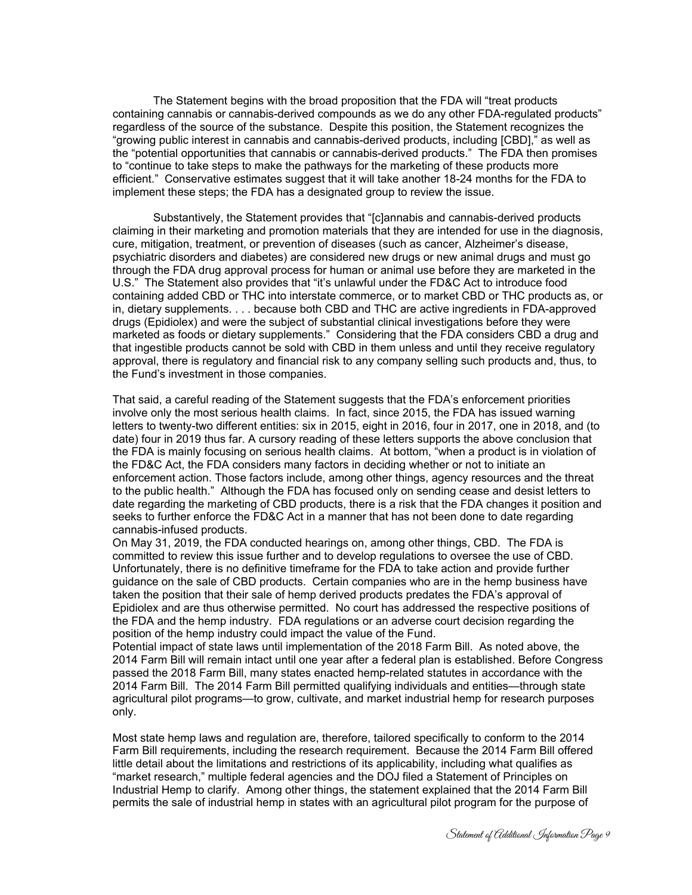The Statement begins with the broad proposition that the FDA will "treat products containing cannabis or cannabis-derived compounds as we do any other FDA-regulated products" regardless of the source of the substance. Despite this position, the Statement recognizes the "growing public interest in cannabis and cannabis-derived products, including [CBD]," as well as the "potential opportunities that cannabis or cannabis-derived products." The FDA then promises to "continue to take steps to make the pathways for the marketing of these products more efficient." Conservative estimates suggest that it will take another 18-24 months for the FDA to implement these steps; the FDA has a designated group to review the issue.

 Substantively, the Statement provides that "[c]annabis and cannabis-derived products claiming in their marketing and promotion materials that they are intended for use in the diagnosis, cure, mitigation, treatment, or prevention of diseases (such as cancer, Alzheimer's disease, psychiatric disorders and diabetes) are considered new drugs or new animal drugs and must go through the FDA drug approval process for human or animal use before they are marketed in the U.S." The Statement also provides that "it's unlawful under the FD&C Act to introduce food containing added CBD or THC into interstate commerce, or to market CBD or THC products as, or in, dietary supplements. . . . because both CBD and THC are active ingredients in FDA-approved drugs (Epidiolex) and were the subject of substantial clinical investigations before they were marketed as foods or dietary supplements." Considering that the FDA considers CBD a drug and that ingestible products cannot be sold with CBD in them unless and until they receive regulatory approval, there is regulatory and financial risk to any company selling such products and, thus, to the Fund's investment in those companies.

That said, a careful reading of the Statement suggests that the FDA's enforcement priorities involve only the most serious health claims. In fact, since 2015, the FDA has issued warning letters to twenty-two different entities: six in 2015, eight in 2016, four in 2017, one in 2018, and (to date) four in 2019 thus far. A cursory reading of these letters supports the above conclusion that the FDA is mainly focusing on serious health claims. At bottom, "when a product is in violation of the FD&C Act, the FDA considers many factors in deciding whether or not to initiate an enforcement action. Those factors include, among other things, agency resources and the threat to the public health." Although the FDA has focused only on sending cease and desist letters to date regarding the marketing of CBD products, there is a risk that the FDA changes it position and seeks to further enforce the FD&C Act in a manner that has not been done to date regarding cannabis-infused products.

On May 31, 2019, the FDA conducted hearings on, among other things, CBD. The FDA is committed to review this issue further and to develop regulations to oversee the use of CBD. Unfortunately, there is no definitive timeframe for the FDA to take action and provide further guidance on the sale of CBD products. Certain companies who are in the hemp business have taken the position that their sale of hemp derived products predates the FDA's approval of Epidiolex and are thus otherwise permitted. No court has addressed the respective positions of the FDA and the hemp industry. FDA regulations or an adverse court decision regarding the position of the hemp industry could impact the value of the Fund.

Potential impact of state laws until implementation of the 2018 Farm Bill. As noted above, the 2014 Farm Bill will remain intact until one year after a federal plan is established. Before Congress passed the 2018 Farm Bill, many states enacted hemp-related statutes in accordance with the 2014 Farm Bill. The 2014 Farm Bill permitted qualifying individuals and entities—through state agricultural pilot programs—to grow, cultivate, and market industrial hemp for research purposes only.

Most state hemp laws and regulation are, therefore, tailored specifically to conform to the 2014 Farm Bill requirements, including the research requirement. Because the 2014 Farm Bill offered little detail about the limitations and restrictions of its applicability, including what qualifies as "market research," multiple federal agencies and the DOJ filed a Statement of Principles on Industrial Hemp to clarify. Among other things, the statement explained that the 2014 Farm Bill permits the sale of industrial hemp in states with an agricultural pilot program for the purpose of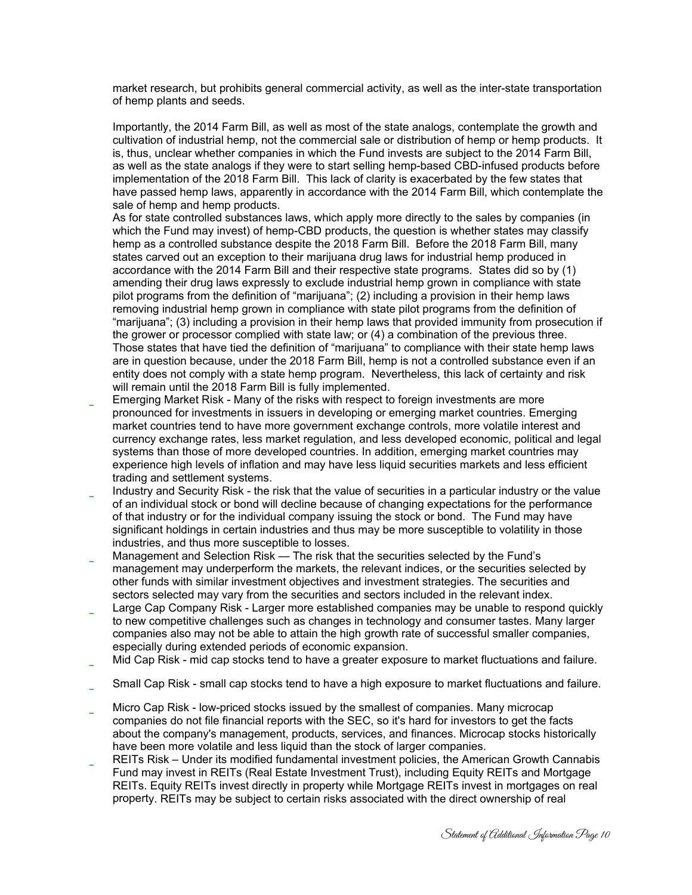market research, but prohibits general commercial activity, as well as the inter-state transportation of hemp plants and seeds.

Importantly, the 2014 Farm Bill, as well as most of the state analogs, contemplate the growth and cultivation of industrial hemp, not the commercial sale or distribution of hemp or hemp products. It is, thus, unclear whether companies in which the Fund invests are subject to the 2014 Farm Bill, as well as the state analogs if they were to start selling hemp-based CBD-infused products before implementation of the 2018 Farm Bill. This lack of clarity is exacerbated by the few states that have passed hemp laws, apparently in accordance with the 2014 Farm Bill, which contemplate the sale of hemp and hemp products.

As for state controlled substances laws, which apply more directly to the sales by companies (in which the Fund may invest) of hemp-CBD products, the question is whether states may classify hemp as a controlled substance despite the 2018 Farm Bill. Before the 2018 Farm Bill, many states carved out an exception to their marijuana drug laws for industrial hemp produced in accordance with the 2014 Farm Bill and their respective state programs. States did so by (1) amending their drug laws expressly to exclude industrial hemp grown in compliance with state pilot programs from the definition of "marijuana"; (2) including a provision in their hemp laws removing industrial hemp grown in compliance with state pilot programs from the definition of "marijuana"; (3) including a provision in their hemp laws that provided immunity from prosecution if the grower or processor complied with state law; or (4) a combination of the previous three. Those states that have tied the definition of "marijuana" to compliance with their state hemp laws are in question because, under the 2018 Farm Bill, hemp is not a controlled substance even if an entity does not comply with a state hemp program. Nevertheless, this lack of certainty and risk will remain until the 2018 Farm Bill is fully implemented.

- Emerging Market Risk Many of the risks with respect to foreign investments are more pronounced for investments in issuers in developing or emerging market countries. Emerging market countries tend to have more government exchange controls, more volatile interest and currency exchange rates, less market regulation, and less developed economic, political and legal systems than those of more developed countries. In addition, emerging market countries may experience high levels of inflation and may have less liquid securities markets and less efficient trading and settlement systems.
- Industry and Security Risk the risk that the value of securities in a particular industry or the value of an individual stock or bond will decline because of changing expectations for the performance of that industry or for the individual company issuing the stock or bond. The Fund may have significant holdings in certain industries and thus may be more susceptible to volatility in those industries, and thus more susceptible to losses.
- Management and Selection Risk The risk that the securities selected by the Fund's management may underperform the markets, the relevant indices, or the securities selected by other funds with similar investment objectives and investment strategies. The securities and sectors selected may vary from the securities and sectors included in the relevant index.
- Large Cap Company Risk Larger more established companies may be unable to respond quickly to new competitive challenges such as changes in technology and consumer tastes. Many larger companies also may not be able to attain the high growth rate of successful smaller companies, especially during extended periods of economic expansion.
- Mid Cap Risk mid cap stocks tend to have a greater exposure to market fluctuations and failure.
- Small Cap Risk small cap stocks tend to have a high exposure to market fluctuations and failure.
- Micro Cap Risk low-priced stocks issued by the smallest of companies. Many microcap companies do not file financial reports with the SEC, so it's hard for investors to get the facts about the company's management, products, services, and finances. Microcap stocks historically have been more volatile and less liquid than the stock of larger companies.
- REITs Risk Under its modified fundamental investment policies, the American Growth Cannabis Fund may invest in REITs (Real Estate Investment Trust), including Equity REITs and Mortgage REITs. Equity REITs invest directly in property while Mortgage REITs invest in mortgages on real property. REITs may be subject to certain risks associated with the direct ownership of real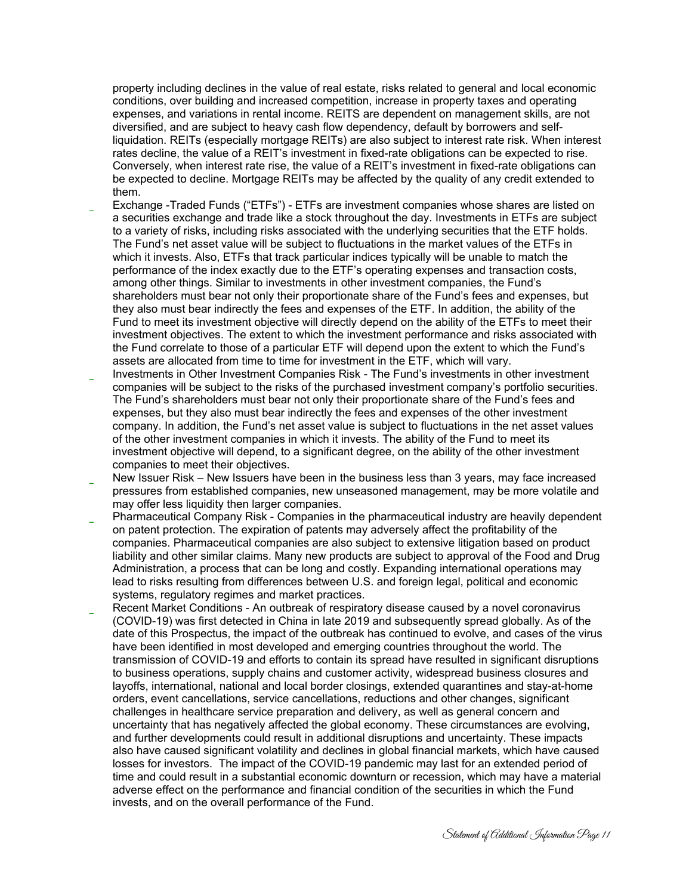property including declines in the value of real estate, risks related to general and local economic conditions, over building and increased competition, increase in property taxes and operating expenses, and variations in rental income. REITS are dependent on management skills, are not diversified, and are subject to heavy cash flow dependency, default by borrowers and selfliquidation. REITs (especially mortgage REITs) are also subject to interest rate risk. When interest rates decline, the value of a REIT's investment in fixed-rate obligations can be expected to rise. Conversely, when interest rate rise, the value of a REIT's investment in fixed-rate obligations can be expected to decline. Mortgage REITs may be affected by the quality of any credit extended to them.

- Exchange -Traded Funds ("ETFs") ETFs are investment companies whose shares are listed on a securities exchange and trade like a stock throughout the day. Investments in ETFs are subject to a variety of risks, including risks associated with the underlying securities that the ETF holds. The Fund's net asset value will be subject to fluctuations in the market values of the ETFs in which it invests. Also, ETFs that track particular indices typically will be unable to match the performance of the index exactly due to the ETF's operating expenses and transaction costs, among other things. Similar to investments in other investment companies, the Fund's shareholders must bear not only their proportionate share of the Fund's fees and expenses, but they also must bear indirectly the fees and expenses of the ETF. In addition, the ability of the Fund to meet its investment objective will directly depend on the ability of the ETFs to meet their investment objectives. The extent to which the investment performance and risks associated with the Fund correlate to those of a particular ETF will depend upon the extent to which the Fund's assets are allocated from time to time for investment in the ETF, which will vary.
- Investments in Other Investment Companies Risk The Fund's investments in other investment companies will be subject to the risks of the purchased investment company's portfolio securities. The Fund's shareholders must bear not only their proportionate share of the Fund's fees and expenses, but they also must bear indirectly the fees and expenses of the other investment company. In addition, the Fund's net asset value is subject to fluctuations in the net asset values of the other investment companies in which it invests. The ability of the Fund to meet its investment objective will depend, to a significant degree, on the ability of the other investment companies to meet their objectives.
- New Issuer Risk New Issuers have been in the business less than 3 years, may face increased pressures from established companies, new unseasoned management, may be more volatile and may offer less liquidity then larger companies.
- Pharmaceutical Company Risk Companies in the pharmaceutical industry are heavily dependent on patent protection. The expiration of patents may adversely affect the profitability of the companies. Pharmaceutical companies are also subject to extensive litigation based on product liability and other similar claims. Many new products are subject to approval of the Food and Drug Administration, a process that can be long and costly. Expanding international operations may lead to risks resulting from differences between U.S. and foreign legal, political and economic systems, regulatory regimes and market practices.
- Recent Market Conditions An outbreak of respiratory disease caused by a novel coronavirus (COVID-19) was first detected in China in late 2019 and subsequently spread globally. As of the date of this Prospectus, the impact of the outbreak has continued to evolve, and cases of the virus have been identified in most developed and emerging countries throughout the world. The transmission of COVID-19 and efforts to contain its spread have resulted in significant disruptions to business operations, supply chains and customer activity, widespread business closures and layoffs, international, national and local border closings, extended quarantines and stay-at-home orders, event cancellations, service cancellations, reductions and other changes, significant challenges in healthcare service preparation and delivery, as well as general concern and uncertainty that has negatively affected the global economy. These circumstances are evolving, and further developments could result in additional disruptions and uncertainty. These impacts also have caused significant volatility and declines in global financial markets, which have caused losses for investors. The impact of the COVID-19 pandemic may last for an extended period of time and could result in a substantial economic downturn or recession, which may have a material adverse effect on the performance and financial condition of the securities in which the Fund invests, and on the overall performance of the Fund.

Statement of Additional Information Page 11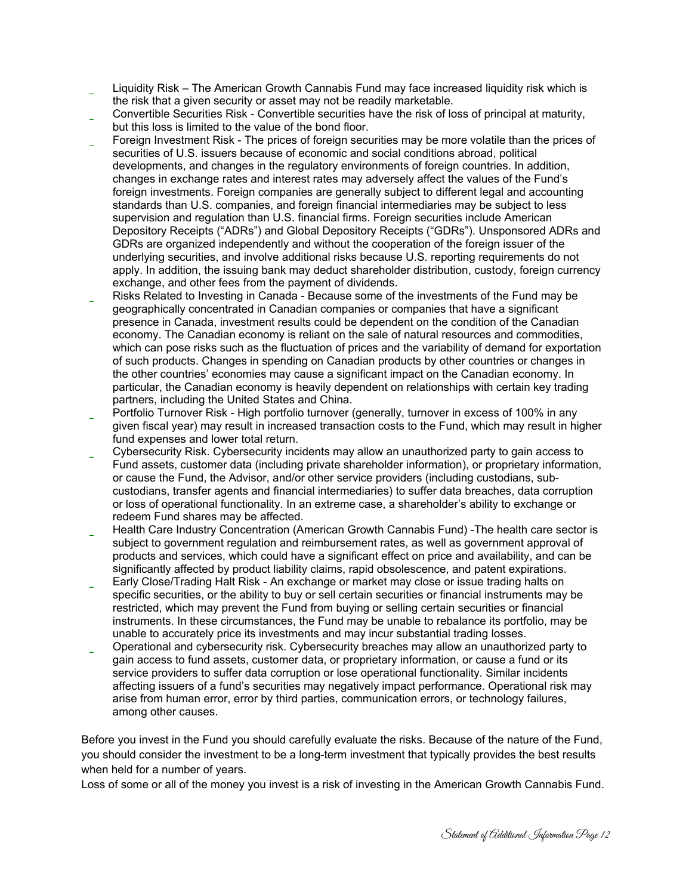Liquidity Risk – The American Growth Cannabis Fund may face increased liquidity risk which is the risk that a given security or asset may not be readily marketable.

- Convertible Securities Risk Convertible securities have the risk of loss of principal at maturity, but this loss is limited to the value of the bond floor.
- Foreign Investment Risk The prices of foreign securities may be more volatile than the prices of securities of U.S. issuers because of economic and social conditions abroad, political developments, and changes in the regulatory environments of foreign countries. In addition, changes in exchange rates and interest rates may adversely affect the values of the Fund's foreign investments. Foreign companies are generally subject to different legal and accounting standards than U.S. companies, and foreign financial intermediaries may be subject to less supervision and regulation than U.S. financial firms. Foreign securities include American Depository Receipts ("ADRs") and Global Depository Receipts ("GDRs"). Unsponsored ADRs and GDRs are organized independently and without the cooperation of the foreign issuer of the underlying securities, and involve additional risks because U.S. reporting requirements do not apply. In addition, the issuing bank may deduct shareholder distribution, custody, foreign currency exchange, and other fees from the payment of dividends.
- \* Risks Related to Investing in Canada Because some of the investments of the Fund may be geographically concentrated in Canadian companies or companies that have a significant presence in Canada, investment results could be dependent on the condition of the Canadian economy. The Canadian economy is reliant on the sale of natural resources and commodities, which can pose risks such as the fluctuation of prices and the variability of demand for exportation of such products. Changes in spending on Canadian products by other countries or changes in the other countries' economies may cause a significant impact on the Canadian economy. In particular, the Canadian economy is heavily dependent on relationships with certain key trading partners, including the United States and China.
- Portfolio Turnover Risk High portfolio turnover (generally, turnover in excess of 100% in any given fiscal year) may result in increased transaction costs to the Fund, which may result in higher fund expenses and lower total return.
- Cybersecurity Risk. Cybersecurity incidents may allow an unauthorized party to gain access to Fund assets, customer data (including private shareholder information), or proprietary information, or cause the Fund, the Advisor, and/or other service providers (including custodians, subcustodians, transfer agents and financial intermediaries) to suffer data breaches, data corruption or loss of operational functionality. In an extreme case, a shareholder's ability to exchange or redeem Fund shares may be affected.
- Health Care Industry Concentration (American Growth Cannabis Fund) -The health care sector is subject to government regulation and reimbursement rates, as well as government approval of products and services, which could have a significant effect on price and availability, and can be significantly affected by product liability claims, rapid obsolescence, and patent expirations.
- Early Close/Trading Halt Risk An exchange or market may close or issue trading halts on specific securities, or the ability to buy or sell certain securities or financial instruments may be restricted, which may prevent the Fund from buying or selling certain securities or financial instruments. In these circumstances, the Fund may be unable to rebalance its portfolio, may be unable to accurately price its investments and may incur substantial trading losses.
- Operational and cybersecurity risk. Cybersecurity breaches may allow an unauthorized party to gain access to fund assets, customer data, or proprietary information, or cause a fund or its service providers to suffer data corruption or lose operational functionality. Similar incidents affecting issuers of a fund's securities may negatively impact performance. Operational risk may arise from human error, error by third parties, communication errors, or technology failures, among other causes.

Before you invest in the Fund you should carefully evaluate the risks. Because of the nature of the Fund, you should consider the investment to be a long-term investment that typically provides the best results when held for a number of years.

Loss of some or all of the money you invest is a risk of investing in the American Growth Cannabis Fund.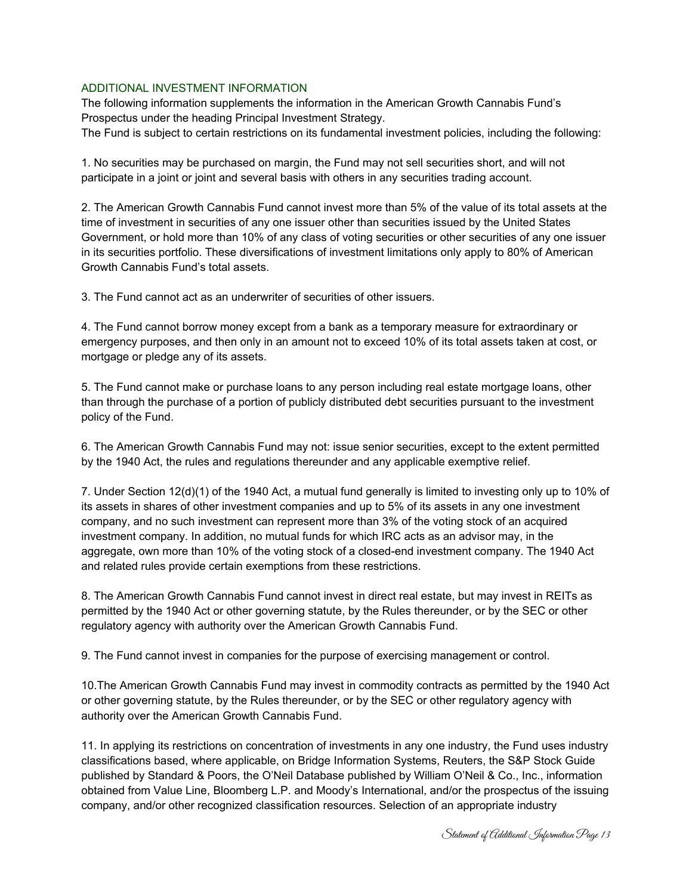## ADDITIONAL INVESTMENT INFORMATION

The following information supplements the information in the American Growth Cannabis Fund's Prospectus under the heading Principal Investment Strategy.

The Fund is subject to certain restrictions on its fundamental investment policies, including the following:

1. No securities may be purchased on margin, the Fund may not sell securities short, and will not participate in a joint or joint and several basis with others in any securities trading account.

2. The American Growth Cannabis Fund cannot invest more than 5% of the value of its total assets at the time of investment in securities of any one issuer other than securities issued by the United States Government, or hold more than 10% of any class of voting securities or other securities of any one issuer in its securities portfolio. These diversifications of investment limitations only apply to 80% of American Growth Cannabis Fund's total assets.

3. The Fund cannot act as an underwriter of securities of other issuers.

4. The Fund cannot borrow money except from a bank as a temporary measure for extraordinary or emergency purposes, and then only in an amount not to exceed 10% of its total assets taken at cost, or mortgage or pledge any of its assets.

5. The Fund cannot make or purchase loans to any person including real estate mortgage loans, other than through the purchase of a portion of publicly distributed debt securities pursuant to the investment policy of the Fund.

6. The American Growth Cannabis Fund may not: issue senior securities, except to the extent permitted by the 1940 Act, the rules and regulations thereunder and any applicable exemptive relief.

7. Under Section 12(d)(1) of the 1940 Act, a mutual fund generally is limited to investing only up to 10% of its assets in shares of other investment companies and up to 5% of its assets in any one investment company, and no such investment can represent more than 3% of the voting stock of an acquired investment company. In addition, no mutual funds for which IRC acts as an advisor may, in the aggregate, own more than 10% of the voting stock of a closed-end investment company. The 1940 Act and related rules provide certain exemptions from these restrictions.

8. The American Growth Cannabis Fund cannot invest in direct real estate, but may invest in REITs as permitted by the 1940 Act or other governing statute, by the Rules thereunder, or by the SEC or other regulatory agency with authority over the American Growth Cannabis Fund.

9. The Fund cannot invest in companies for the purpose of exercising management or control.

10.The American Growth Cannabis Fund may invest in commodity contracts as permitted by the 1940 Act or other governing statute, by the Rules thereunder, or by the SEC or other regulatory agency with authority over the American Growth Cannabis Fund.

11. In applying its restrictions on concentration of investments in any one industry, the Fund uses industry classifications based, where applicable, on Bridge Information Systems, Reuters, the S&P Stock Guide published by Standard & Poors, the O'Neil Database published by William O'Neil & Co., Inc., information obtained from Value Line, Bloomberg L.P. and Moody's International, and/or the prospectus of the issuing company, and/or other recognized classification resources. Selection of an appropriate industry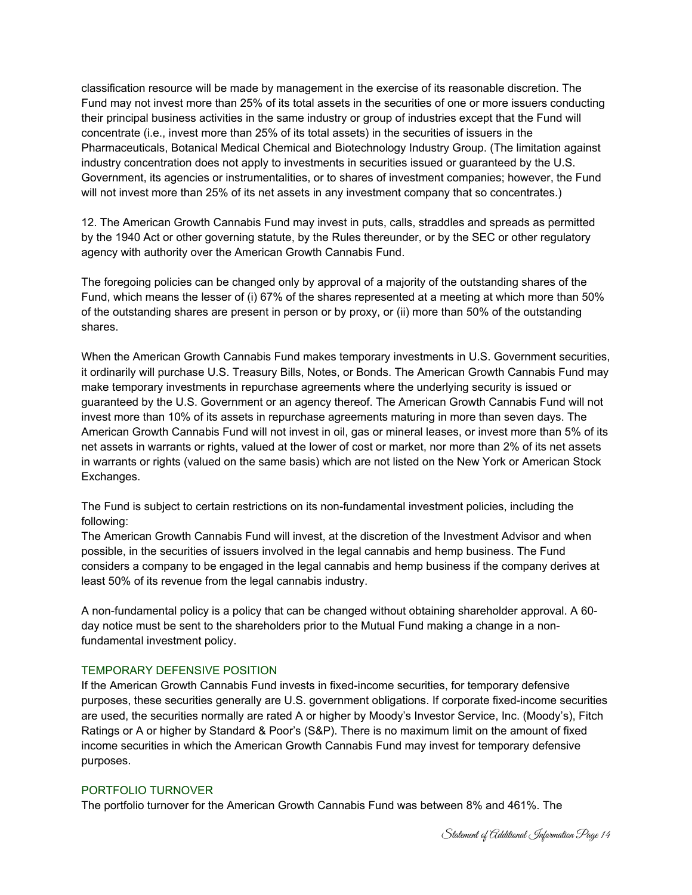classification resource will be made by management in the exercise of its reasonable discretion. The Fund may not invest more than 25% of its total assets in the securities of one or more issuers conducting their principal business activities in the same industry or group of industries except that the Fund will concentrate (i.e., invest more than 25% of its total assets) in the securities of issuers in the Pharmaceuticals, Botanical Medical Chemical and Biotechnology Industry Group. (The limitation against industry concentration does not apply to investments in securities issued or guaranteed by the U.S. Government, its agencies or instrumentalities, or to shares of investment companies; however, the Fund will not invest more than 25% of its net assets in any investment company that so concentrates.)

12. The American Growth Cannabis Fund may invest in puts, calls, straddles and spreads as permitted by the 1940 Act or other governing statute, by the Rules thereunder, or by the SEC or other regulatory agency with authority over the American Growth Cannabis Fund.

The foregoing policies can be changed only by approval of a majority of the outstanding shares of the Fund, which means the lesser of (i) 67% of the shares represented at a meeting at which more than 50% of the outstanding shares are present in person or by proxy, or (ii) more than 50% of the outstanding shares.

When the American Growth Cannabis Fund makes temporary investments in U.S. Government securities, it ordinarily will purchase U.S. Treasury Bills, Notes, or Bonds. The American Growth Cannabis Fund may make temporary investments in repurchase agreements where the underlying security is issued or guaranteed by the U.S. Government or an agency thereof. The American Growth Cannabis Fund will not invest more than 10% of its assets in repurchase agreements maturing in more than seven days. The American Growth Cannabis Fund will not invest in oil, gas or mineral leases, or invest more than 5% of its net assets in warrants or rights, valued at the lower of cost or market, nor more than 2% of its net assets in warrants or rights (valued on the same basis) which are not listed on the New York or American Stock Exchanges.

The Fund is subject to certain restrictions on its non-fundamental investment policies, including the following:

The American Growth Cannabis Fund will invest, at the discretion of the Investment Advisor and when possible, in the securities of issuers involved in the legal cannabis and hemp business. The Fund considers a company to be engaged in the legal cannabis and hemp business if the company derives at least 50% of its revenue from the legal cannabis industry.

A non-fundamental policy is a policy that can be changed without obtaining shareholder approval. A 60 day notice must be sent to the shareholders prior to the Mutual Fund making a change in a nonfundamental investment policy.

## TEMPORARY DEFENSIVE POSITION

If the American Growth Cannabis Fund invests in fixed-income securities, for temporary defensive purposes, these securities generally are U.S. government obligations. If corporate fixed-income securities are used, the securities normally are rated A or higher by Moody's Investor Service, Inc. (Moody's), Fitch Ratings or A or higher by Standard & Poor's (S&P). There is no maximum limit on the amount of fixed income securities in which the American Growth Cannabis Fund may invest for temporary defensive purposes.

## PORTFOLIO TURNOVER

The portfolio turnover for the American Growth Cannabis Fund was between 8% and 461%. The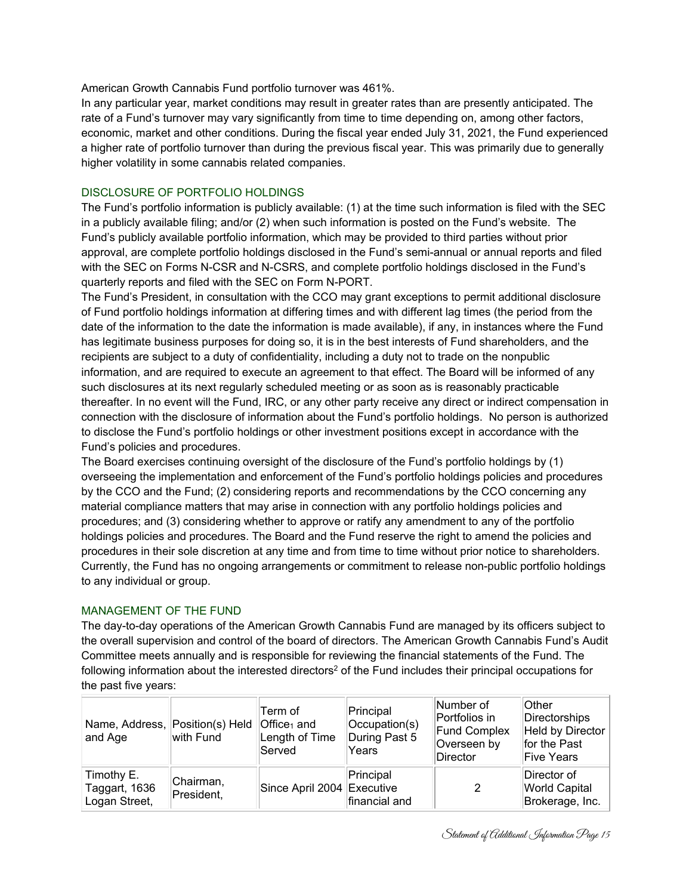American Growth Cannabis Fund portfolio turnover was 461%.

In any particular year, market conditions may result in greater rates than are presently anticipated. The rate of a Fund's turnover may vary significantly from time to time depending on, among other factors, economic, market and other conditions. During the fiscal year ended July 31, 2021, the Fund experienced a higher rate of portfolio turnover than during the previous fiscal year. This was primarily due to generally higher volatility in some cannabis related companies.

## DISCLOSURE OF PORTFOLIO HOLDINGS

The Fund's portfolio information is publicly available: (1) at the time such information is filed with the SEC in a publicly available filing; and/or (2) when such information is posted on the Fund's website. The Fund's publicly available portfolio information, which may be provided to third parties without prior approval, are complete portfolio holdings disclosed in the Fund's semi-annual or annual reports and filed with the SEC on Forms N-CSR and N-CSRS, and complete portfolio holdings disclosed in the Fund's quarterly reports and filed with the SEC on Form N-PORT.

The Fund's President, in consultation with the CCO may grant exceptions to permit additional disclosure of Fund portfolio holdings information at differing times and with different lag times (the period from the date of the information to the date the information is made available), if any, in instances where the Fund has legitimate business purposes for doing so, it is in the best interests of Fund shareholders, and the recipients are subject to a duty of confidentiality, including a duty not to trade on the nonpublic information, and are required to execute an agreement to that effect. The Board will be informed of any such disclosures at its next regularly scheduled meeting or as soon as is reasonably practicable thereafter. In no event will the Fund, IRC, or any other party receive any direct or indirect compensation in connection with the disclosure of information about the Fund's portfolio holdings. No person is authorized to disclose the Fund's portfolio holdings or other investment positions except in accordance with the Fund's policies and procedures.

The Board exercises continuing oversight of the disclosure of the Fund's portfolio holdings by (1) overseeing the implementation and enforcement of the Fund's portfolio holdings policies and procedures by the CCO and the Fund; (2) considering reports and recommendations by the CCO concerning any material compliance matters that may arise in connection with any portfolio holdings policies and procedures; and (3) considering whether to approve or ratify any amendment to any of the portfolio holdings policies and procedures. The Board and the Fund reserve the right to amend the policies and procedures in their sole discretion at any time and from time to time without prior notice to shareholders. Currently, the Fund has no ongoing arrangements or commitment to release non-public portfolio holdings to any individual or group.

## MANAGEMENT OF THE FUND

The day-to-day operations of the American Growth Cannabis Fund are managed by its officers subject to the overall supervision and control of the board of directors. The American Growth Cannabis Fund's Audit Committee meets annually and is responsible for reviewing the financial statements of the Fund. The following information about the interested directors<sup>2</sup> of the Fund includes their principal occupations for the past five years:

| Name, Address, Position(s) Held<br>and Age   | with Fund               | Term of<br>$\vert$ Office <sub>1</sub> and<br>Length of Time<br>Served | Principal<br>Occupation(s)<br>During Past 5<br>Years | Number of<br>Portfolios in<br><b>Fund Complex</b><br>Overseen by<br>Director | <b>Other</b><br>Directorships<br>Held by Director<br>for the Past<br>Five Years |
|----------------------------------------------|-------------------------|------------------------------------------------------------------------|------------------------------------------------------|------------------------------------------------------------------------------|---------------------------------------------------------------------------------|
| Timothy E.<br>Taggart, 1636<br>Logan Street, | Chairman,<br>President, | Since April 2004 Executive                                             | Principal<br>financial and                           |                                                                              | Director of<br><b>World Capital</b><br>Brokerage, Inc.                          |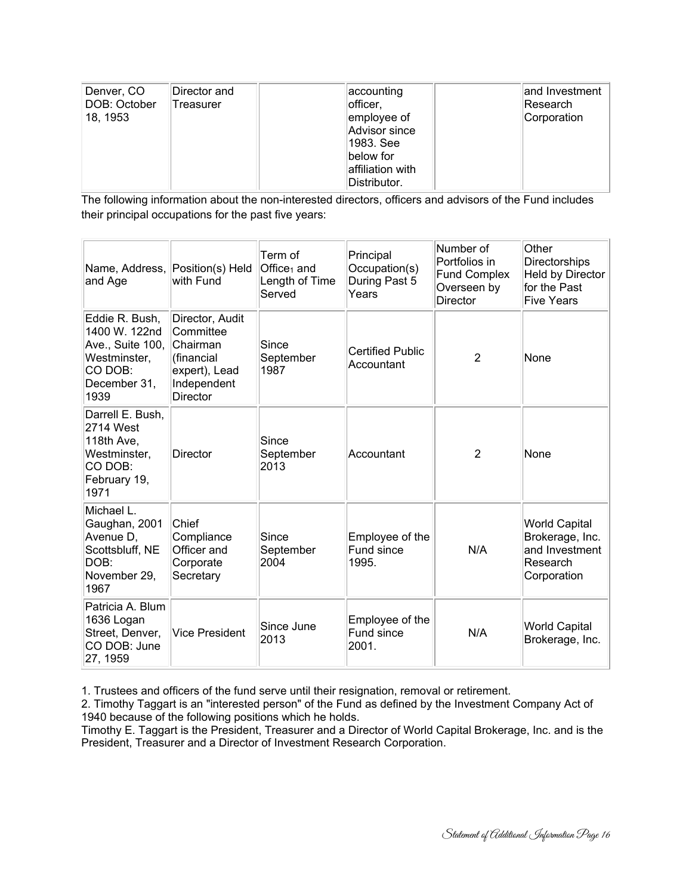| Denver, CO<br>DOB: October<br>18, 1953 | Director and<br>Treasurer | ∣accounting<br>officer,<br>employee of<br>Advisor since<br>1983. See<br>below for | and Investment  <br>∣Research<br>Corporation |
|----------------------------------------|---------------------------|-----------------------------------------------------------------------------------|----------------------------------------------|
|                                        |                           | affiliation with<br>Distributor.                                                  |                                              |

The following information about the non-interested directors, officers and advisors of the Fund includes their principal occupations for the past five years:

| Name, Address, Position(s) Held<br>and Age                                                             | with Fund                                                                                                 | Term of<br>Office <sub>1</sub> and<br>Length of Time<br>Served | Principal<br>Occupation(s)<br>During Past 5<br>Years | Number of<br>Portfolios in<br><b>Fund Complex</b><br>Overseen by<br><b>Director</b> | Other<br><b>Directorships</b><br>Held by Director<br>for the Past<br><b>Five Years</b> |
|--------------------------------------------------------------------------------------------------------|-----------------------------------------------------------------------------------------------------------|----------------------------------------------------------------|------------------------------------------------------|-------------------------------------------------------------------------------------|----------------------------------------------------------------------------------------|
| Eddie R. Bush,<br>1400 W. 122nd<br>Ave., Suite 100,<br>Westminster,<br>CO DOB:<br>December 31,<br>1939 | Director, Audit<br>Committee<br>Chairman<br>(financial<br>expert), Lead<br>Independent<br><b>Director</b> | Since<br>September<br>1987                                     | <b>Certified Public</b><br>Accountant                | $\overline{2}$                                                                      | None                                                                                   |
| Darrell E. Bush,<br>2714 West<br>118th Ave,<br>Westminster,<br>CO DOB:<br>February 19,<br>1971         | <b>Director</b>                                                                                           | Since<br>September<br>2013                                     | Accountant                                           | $\overline{2}$                                                                      | None                                                                                   |
| Michael L.<br>Gaughan, 2001<br>Avenue D,<br>Scottsbluff, NE<br>DOB:<br>November 29,<br>1967            | Chief<br>Compliance<br>Officer and<br>Corporate<br>Secretary                                              | Since<br>September<br>2004                                     | Employee of the<br>Fund since<br>1995.               | N/A                                                                                 | <b>World Capital</b><br>Brokerage, Inc.<br>and Investment<br>Research<br>Corporation   |
| Patricia A. Blum<br>1636 Logan<br>Street, Denver,<br>CO DOB: June<br>27, 1959                          | <b>Vice President</b>                                                                                     | Since June<br>2013                                             | Employee of the<br>Fund since<br>2001.               | N/A                                                                                 | <b>World Capital</b><br>Brokerage, Inc.                                                |

1. Trustees and officers of the fund serve until their resignation, removal or retirement.

2. Timothy Taggart is an "interested person" of the Fund as defined by the Investment Company Act of 1940 because of the following positions which he holds.

Timothy E. Taggart is the President, Treasurer and a Director of World Capital Brokerage, Inc. and is the President, Treasurer and a Director of Investment Research Corporation.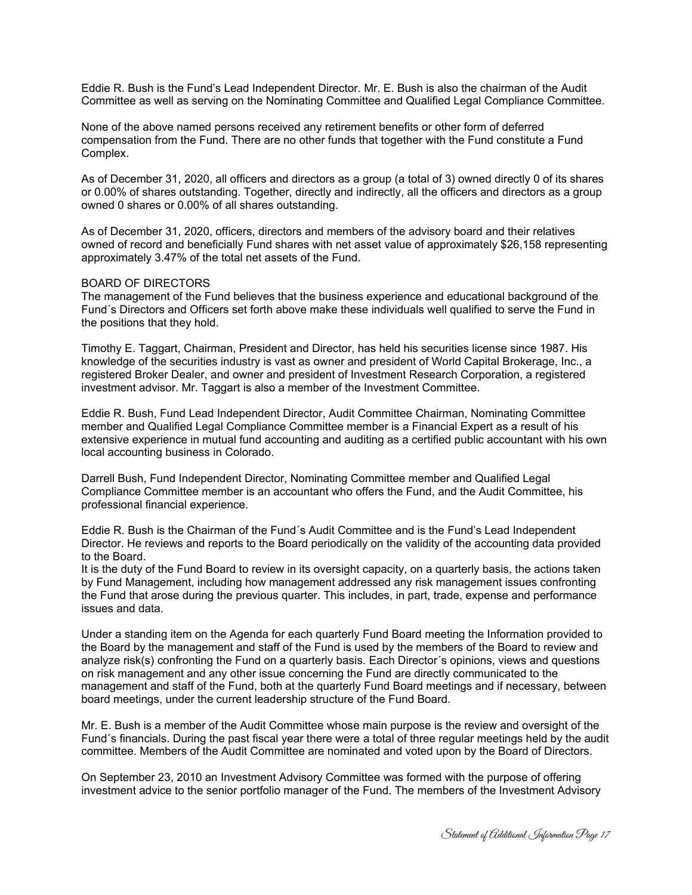Eddie R. Bush is the Fund's Lead Independent Director. Mr. E. Bush is also the chairman of the Audit Committee as well as serving on the Nominating Committee and Qualified Legal Compliance Committee.

None of the above named persons received any retirement benefits or other form of deferred compensation from the Fund. There are no other funds that together with the Fund constitute a Fund Complex.

As of December 31, 2020, all officers and directors as a group (a total of 3) owned directly 0 of its shares or 0.00% of shares outstanding. Together, directly and indirectly, all the officers and directors as a group owned 0 shares or 0.00% of all shares outstanding.

As of December 31, 2020, officers, directors and members of the advisory board and their relatives owned of record and beneficially Fund shares with net asset value of approximately \$26,158 representing approximately 3.47% of the total net assets of the Fund.

#### BOARD OF DIRECTORS

The management of the Fund believes that the business experience and educational background of the Fund´s Directors and Officers set forth above make these individuals well qualified to serve the Fund in the positions that they hold.

Timothy E. Taggart, Chairman, President and Director, has held his securities license since 1987. His knowledge of the securities industry is vast as owner and president of World Capital Brokerage, Inc., a registered Broker Dealer, and owner and president of Investment Research Corporation, a registered investment advisor. Mr. Taggart is also a member of the Investment Committee.

Eddie R. Bush, Fund Lead Independent Director, Audit Committee Chairman, Nominating Committee member and Qualified Legal Compliance Committee member is a Financial Expert as a result of his extensive experience in mutual fund accounting and auditing as a certified public accountant with his own local accounting business in Colorado.

Darrell Bush, Fund Independent Director, Nominating Committee member and Qualified Legal Compliance Committee member is an accountant who offers the Fund, and the Audit Committee, his professional financial experience.

Eddie R. Bush is the Chairman of the Fund´s Audit Committee and is the Fund's Lead Independent Director. He reviews and reports to the Board periodically on the validity of the accounting data provided to the Board.

It is the duty of the Fund Board to review in its oversight capacity, on a quarterly basis, the actions taken by Fund Management, including how management addressed any risk management issues confronting the Fund that arose during the previous quarter. This includes, in part, trade, expense and performance issues and data.

Under a standing item on the Agenda for each quarterly Fund Board meeting the Information provided to the Board by the management and staff of the Fund is used by the members of the Board to review and analyze risk(s) confronting the Fund on a quarterly basis. Each Director´s opinions, views and questions on risk management and any other issue concerning the Fund are directly communicated to the management and staff of the Fund, both at the quarterly Fund Board meetings and if necessary, between board meetings, under the current leadership structure of the Fund Board.

Mr. E. Bush is a member of the Audit Committee whose main purpose is the review and oversight of the Fund´s financials. During the past fiscal year there were a total of three regular meetings held by the audit committee. Members of the Audit Committee are nominated and voted upon by the Board of Directors.

On September 23, 2010 an Investment Advisory Committee was formed with the purpose of offering investment advice to the senior portfolio manager of the Fund. The members of the Investment Advisory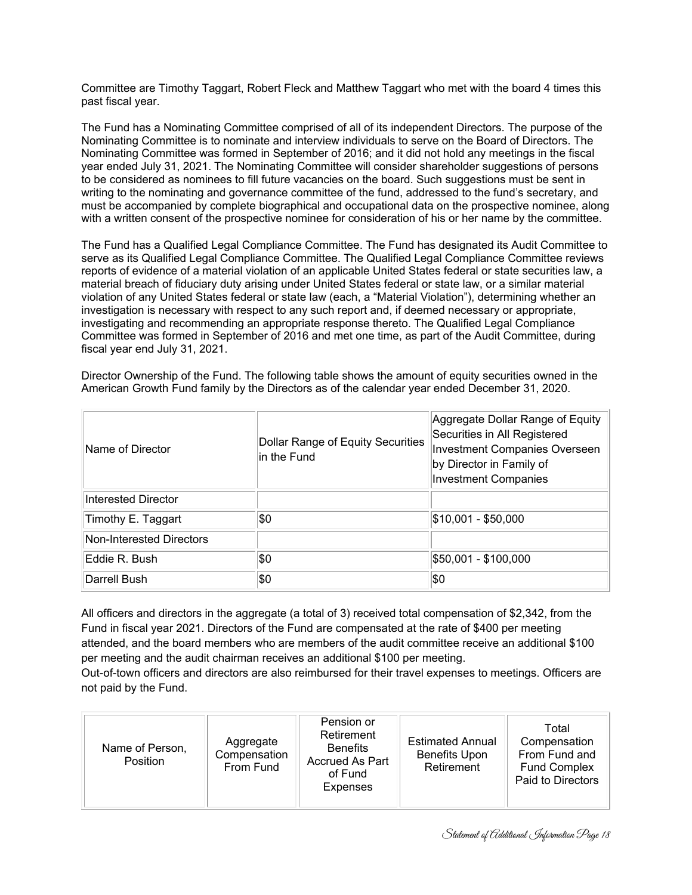Committee are Timothy Taggart, Robert Fleck and Matthew Taggart who met with the board 4 times this past fiscal year.

The Fund has a Nominating Committee comprised of all of its independent Directors. The purpose of the Nominating Committee is to nominate and interview individuals to serve on the Board of Directors. The Nominating Committee was formed in September of 2016; and it did not hold any meetings in the fiscal year ended July 31, 2021. The Nominating Committee will consider shareholder suggestions of persons to be considered as nominees to fill future vacancies on the board. Such suggestions must be sent in writing to the nominating and governance committee of the fund, addressed to the fund's secretary, and must be accompanied by complete biographical and occupational data on the prospective nominee, along with a written consent of the prospective nominee for consideration of his or her name by the committee.

The Fund has a Qualified Legal Compliance Committee. The Fund has designated its Audit Committee to serve as its Qualified Legal Compliance Committee. The Qualified Legal Compliance Committee reviews reports of evidence of a material violation of an applicable United States federal or state securities law, a material breach of fiduciary duty arising under United States federal or state law, or a similar material violation of any United States federal or state law (each, a "Material Violation"), determining whether an investigation is necessary with respect to any such report and, if deemed necessary or appropriate, investigating and recommending an appropriate response thereto. The Qualified Legal Compliance Committee was formed in September of 2016 and met one time, as part of the Audit Committee, during fiscal year end July 31, 2021.

Director Ownership of the Fund. The following table shows the amount of equity securities owned in the American Growth Fund family by the Directors as of the calendar year ended December 31, 2020.

| Name of Director         | Dollar Range of Equity Securities<br>in the Fund | Aggregate Dollar Range of Equity<br>Securities in All Registered<br><b>Investment Companies Overseen</b><br>by Director in Family of<br><b>Investment Companies</b> |  |
|--------------------------|--------------------------------------------------|---------------------------------------------------------------------------------------------------------------------------------------------------------------------|--|
| Interested Director      |                                                  |                                                                                                                                                                     |  |
| Timothy E. Taggart       | \$0                                              | \$10,001 - \$50,000                                                                                                                                                 |  |
| Non-Interested Directors |                                                  |                                                                                                                                                                     |  |
| Eddie R. Bush            | \$0                                              | \$50,001 - \$100,000                                                                                                                                                |  |
| Darrell Bush             | \$0                                              | \$0                                                                                                                                                                 |  |

All officers and directors in the aggregate (a total of 3) received total compensation of \$2,342, from the Fund in fiscal year 2021. Directors of the Fund are compensated at the rate of \$400 per meeting attended, and the board members who are members of the audit committee receive an additional \$100 per meeting and the audit chairman receives an additional \$100 per meeting.

Out-of-town officers and directors are also reimbursed for their travel expenses to meetings. Officers are not paid by the Fund.

| Name of Person,<br><b>Position</b> | Aggregate<br>Compensation<br>From Fund | Pension or<br>Retirement<br><b>Benefits</b><br><b>Accrued As Part</b><br>of Fund<br>Expenses | <b>Estimated Annual</b><br><b>Benefits Upon</b><br>Retirement | Total<br>Compensation<br>From Fund and<br><b>Fund Complex</b><br>Paid to Directors |
|------------------------------------|----------------------------------------|----------------------------------------------------------------------------------------------|---------------------------------------------------------------|------------------------------------------------------------------------------------|
|------------------------------------|----------------------------------------|----------------------------------------------------------------------------------------------|---------------------------------------------------------------|------------------------------------------------------------------------------------|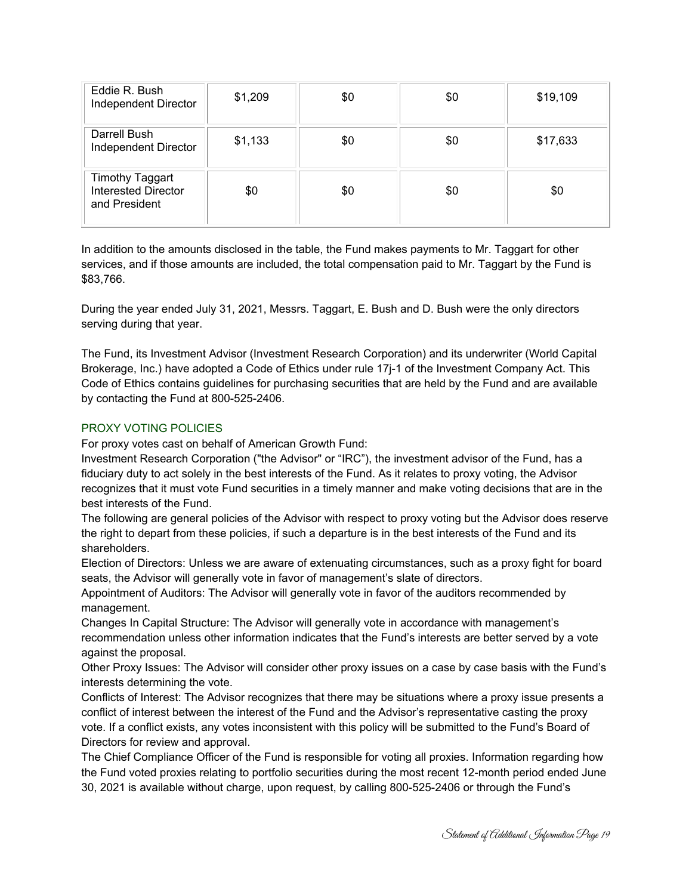| Eddie R. Bush<br>Independent Director                                 | \$1,209 | \$0 | \$0 | \$19,109 |
|-----------------------------------------------------------------------|---------|-----|-----|----------|
| Darrell Bush<br>Independent Director                                  | \$1,133 | \$0 | \$0 | \$17,633 |
| <b>Timothy Taggart</b><br><b>Interested Director</b><br>and President | \$0     | \$0 | \$0 | \$0      |

In addition to the amounts disclosed in the table, the Fund makes payments to Mr. Taggart for other services, and if those amounts are included, the total compensation paid to Mr. Taggart by the Fund is \$83,766.

During the year ended July 31, 2021, Messrs. Taggart, E. Bush and D. Bush were the only directors serving during that year.

The Fund, its Investment Advisor (Investment Research Corporation) and its underwriter (World Capital Brokerage, Inc.) have adopted a Code of Ethics under rule 17j-1 of the Investment Company Act. This Code of Ethics contains guidelines for purchasing securities that are held by the Fund and are available by contacting the Fund at 800-525-2406.

## PROXY VOTING POLICIES

For proxy votes cast on behalf of American Growth Fund:

Investment Research Corporation ("the Advisor" or "IRC"), the investment advisor of the Fund, has a fiduciary duty to act solely in the best interests of the Fund. As it relates to proxy voting, the Advisor recognizes that it must vote Fund securities in a timely manner and make voting decisions that are in the best interests of the Fund.

The following are general policies of the Advisor with respect to proxy voting but the Advisor does reserve the right to depart from these policies, if such a departure is in the best interests of the Fund and its shareholders.

Election of Directors: Unless we are aware of extenuating circumstances, such as a proxy fight for board seats, the Advisor will generally vote in favor of management's slate of directors.

Appointment of Auditors: The Advisor will generally vote in favor of the auditors recommended by management.

Changes In Capital Structure: The Advisor will generally vote in accordance with management's recommendation unless other information indicates that the Fund's interests are better served by a vote against the proposal.

Other Proxy Issues: The Advisor will consider other proxy issues on a case by case basis with the Fund's interests determining the vote.

Conflicts of Interest: The Advisor recognizes that there may be situations where a proxy issue presents a conflict of interest between the interest of the Fund and the Advisor's representative casting the proxy vote. If a conflict exists, any votes inconsistent with this policy will be submitted to the Fund's Board of Directors for review and approval.

The Chief Compliance Officer of the Fund is responsible for voting all proxies. Information regarding how the Fund voted proxies relating to portfolio securities during the most recent 12-month period ended June 30, 2021 is available without charge, upon request, by calling 800-525-2406 or through the Fund's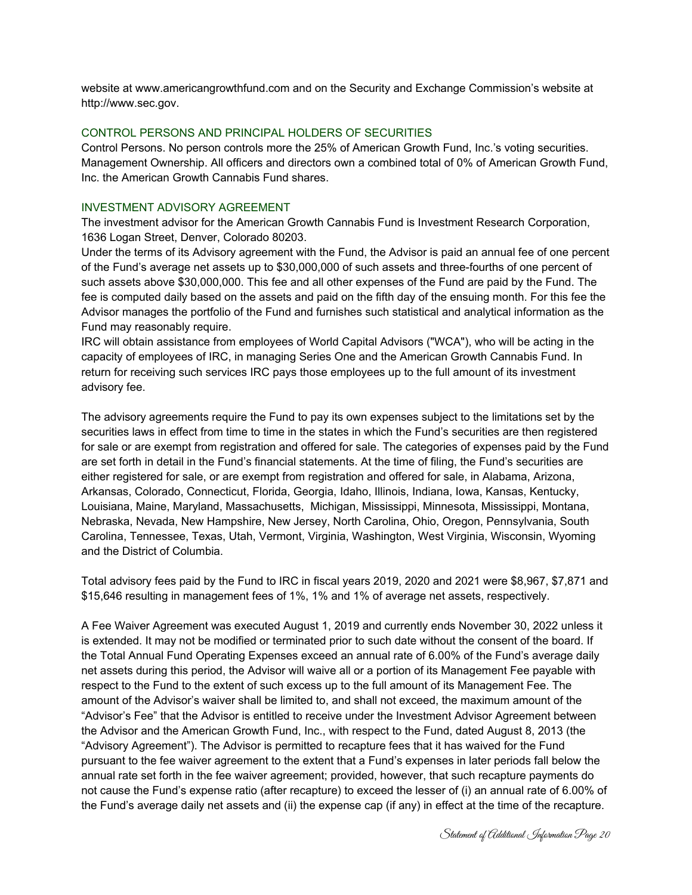website at www.americangrowthfund.com and on the Security and Exchange Commission's website at http://www.sec.gov.

## CONTROL PERSONS AND PRINCIPAL HOLDERS OF SECURITIES

Control Persons. No person controls more the 25% of American Growth Fund, Inc.'s voting securities. Management Ownership. All officers and directors own a combined total of 0% of American Growth Fund, Inc. the American Growth Cannabis Fund shares.

## INVESTMENT ADVISORY AGREEMENT

The investment advisor for the American Growth Cannabis Fund is Investment Research Corporation, 1636 Logan Street, Denver, Colorado 80203.

Under the terms of its Advisory agreement with the Fund, the Advisor is paid an annual fee of one percent of the Fund's average net assets up to \$30,000,000 of such assets and three-fourths of one percent of such assets above \$30,000,000. This fee and all other expenses of the Fund are paid by the Fund. The fee is computed daily based on the assets and paid on the fifth day of the ensuing month. For this fee the Advisor manages the portfolio of the Fund and furnishes such statistical and analytical information as the Fund may reasonably require.

IRC will obtain assistance from employees of World Capital Advisors ("WCA"), who will be acting in the capacity of employees of IRC, in managing Series One and the American Growth Cannabis Fund. In return for receiving such services IRC pays those employees up to the full amount of its investment advisory fee.

The advisory agreements require the Fund to pay its own expenses subject to the limitations set by the securities laws in effect from time to time in the states in which the Fund's securities are then registered for sale or are exempt from registration and offered for sale. The categories of expenses paid by the Fund are set forth in detail in the Fund's financial statements. At the time of filing, the Fund's securities are either registered for sale, or are exempt from registration and offered for sale, in Alabama, Arizona, Arkansas, Colorado, Connecticut, Florida, Georgia, Idaho, Illinois, Indiana, Iowa, Kansas, Kentucky, Louisiana, Maine, Maryland, Massachusetts, Michigan, Mississippi, Minnesota, Mississippi, Montana, Nebraska, Nevada, New Hampshire, New Jersey, North Carolina, Ohio, Oregon, Pennsylvania, South Carolina, Tennessee, Texas, Utah, Vermont, Virginia, Washington, West Virginia, Wisconsin, Wyoming and the District of Columbia.

Total advisory fees paid by the Fund to IRC in fiscal years 2019, 2020 and 2021 were \$8,967, \$7,871 and \$15,646 resulting in management fees of 1%, 1% and 1% of average net assets, respectively.

A Fee Waiver Agreement was executed August 1, 2019 and currently ends November 30, 2022 unless it is extended. It may not be modified or terminated prior to such date without the consent of the board. If the Total Annual Fund Operating Expenses exceed an annual rate of 6.00% of the Fund's average daily net assets during this period, the Advisor will waive all or a portion of its Management Fee payable with respect to the Fund to the extent of such excess up to the full amount of its Management Fee. The amount of the Advisor's waiver shall be limited to, and shall not exceed, the maximum amount of the "Advisor's Fee" that the Advisor is entitled to receive under the Investment Advisor Agreement between the Advisor and the American Growth Fund, Inc., with respect to the Fund, dated August 8, 2013 (the "Advisory Agreement"). The Advisor is permitted to recapture fees that it has waived for the Fund pursuant to the fee waiver agreement to the extent that a Fund's expenses in later periods fall below the annual rate set forth in the fee waiver agreement; provided, however, that such recapture payments do not cause the Fund's expense ratio (after recapture) to exceed the lesser of (i) an annual rate of 6.00% of the Fund's average daily net assets and (ii) the expense cap (if any) in effect at the time of the recapture.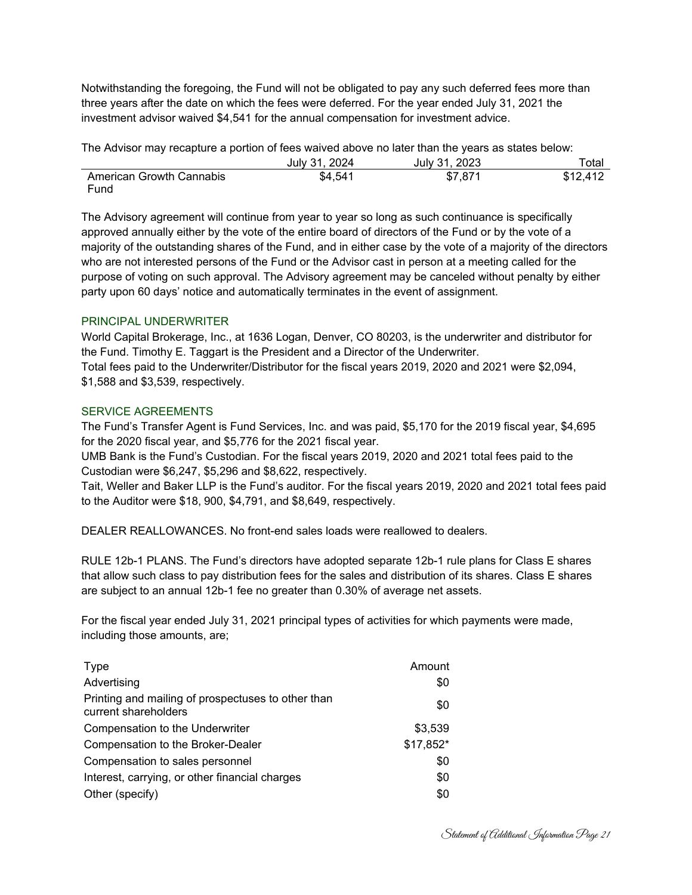Notwithstanding the foregoing, the Fund will not be obligated to pay any such deferred fees more than three years after the date on which the fees were deferred. For the year ended July 31, 2021 the investment advisor waived \$4,541 for the annual compensation for investment advice.

| The Advisor may recapture a portion of fees waived above no later than the years as states below: |               |               |       |
|---------------------------------------------------------------------------------------------------|---------------|---------------|-------|
|                                                                                                   | July 31, 2024 | July 31, 2023 | Total |

|                          | JUIV JT. ZUZ4 | JUIV JT. ZUZJ | ∶∪tal    |
|--------------------------|---------------|---------------|----------|
| American Growth Cannabis | \$4.541       | \$7,871       | \$12,412 |
| Fund                     |               |               |          |

The Advisory agreement will continue from year to year so long as such continuance is specifically approved annually either by the vote of the entire board of directors of the Fund or by the vote of a majority of the outstanding shares of the Fund, and in either case by the vote of a majority of the directors who are not interested persons of the Fund or the Advisor cast in person at a meeting called for the purpose of voting on such approval. The Advisory agreement may be canceled without penalty by either party upon 60 days' notice and automatically terminates in the event of assignment.

## PRINCIPAL UNDERWRITER

World Capital Brokerage, Inc., at 1636 Logan, Denver, CO 80203, is the underwriter and distributor for the Fund. Timothy E. Taggart is the President and a Director of the Underwriter. Total fees paid to the Underwriter/Distributor for the fiscal years 2019, 2020 and 2021 were \$2,094, \$1,588 and \$3,539, respectively.

## SERVICE AGREEMENTS

The Fund's Transfer Agent is Fund Services, Inc. and was paid, \$5,170 for the 2019 fiscal year, \$4,695 for the 2020 fiscal year, and \$5,776 for the 2021 fiscal year.

UMB Bank is the Fund's Custodian. For the fiscal years 2019, 2020 and 2021 total fees paid to the Custodian were \$6,247, \$5,296 and \$8,622, respectively.

Tait, Weller and Baker LLP is the Fund's auditor. For the fiscal years 2019, 2020 and 2021 total fees paid to the Auditor were \$18, 900, \$4,791, and \$8,649, respectively.

DEALER REALLOWANCES. No front-end sales loads were reallowed to dealers.

RULE 12b-1 PLANS. The Fund's directors have adopted separate 12b-1 rule plans for Class E shares that allow such class to pay distribution fees for the sales and distribution of its shares. Class E shares are subject to an annual 12b-1 fee no greater than 0.30% of average net assets.

For the fiscal year ended July 31, 2021 principal types of activities for which payments were made, including those amounts, are;

| <b>Type</b>                                                                | Amount    |
|----------------------------------------------------------------------------|-----------|
| Advertising                                                                | \$0       |
| Printing and mailing of prospectuses to other than<br>current shareholders | \$0       |
| Compensation to the Underwriter                                            | \$3,539   |
| Compensation to the Broker-Dealer                                          | \$17,852* |
| Compensation to sales personnel                                            | \$0       |
| Interest, carrying, or other financial charges                             | \$0       |
| Other (specify)                                                            | \$0       |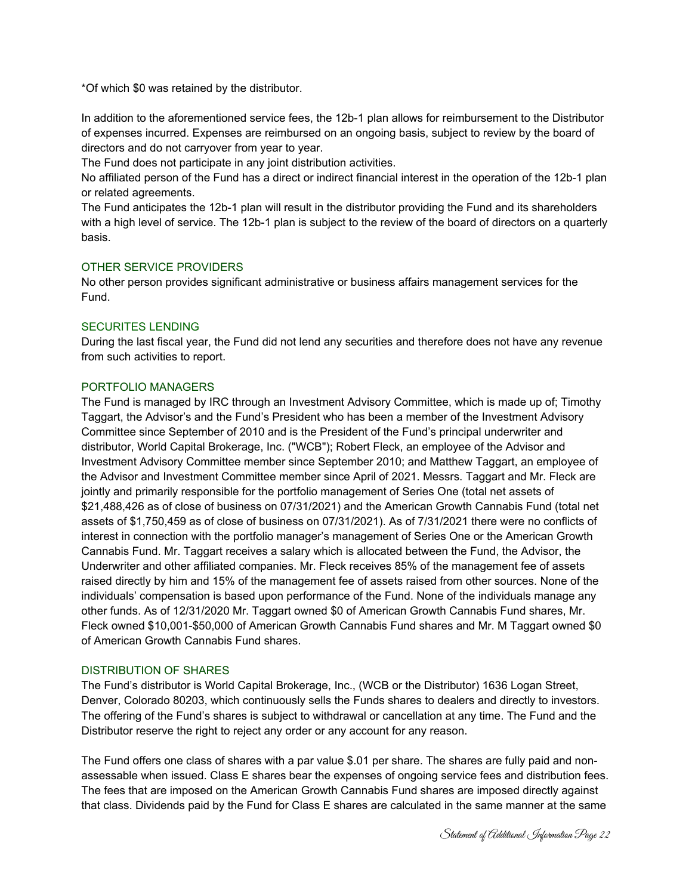\*Of which \$0 was retained by the distributor.

In addition to the aforementioned service fees, the 12b-1 plan allows for reimbursement to the Distributor of expenses incurred. Expenses are reimbursed on an ongoing basis, subject to review by the board of directors and do not carryover from year to year.

The Fund does not participate in any joint distribution activities.

No affiliated person of the Fund has a direct or indirect financial interest in the operation of the 12b-1 plan or related agreements.

The Fund anticipates the 12b-1 plan will result in the distributor providing the Fund and its shareholders with a high level of service. The 12b-1 plan is subject to the review of the board of directors on a quarterly basis.

## OTHER SERVICE PROVIDERS

No other person provides significant administrative or business affairs management services for the Fund.

## SECURITES LENDING

During the last fiscal year, the Fund did not lend any securities and therefore does not have any revenue from such activities to report.

### PORTFOLIO MANAGERS

The Fund is managed by IRC through an Investment Advisory Committee, which is made up of; Timothy Taggart, the Advisor's and the Fund's President who has been a member of the Investment Advisory Committee since September of 2010 and is the President of the Fund's principal underwriter and distributor, World Capital Brokerage, Inc. ("WCB"); Robert Fleck, an employee of the Advisor and Investment Advisory Committee member since September 2010; and Matthew Taggart, an employee of the Advisor and Investment Committee member since April of 2021. Messrs. Taggart and Mr. Fleck are jointly and primarily responsible for the portfolio management of Series One (total net assets of \$21,488,426 as of close of business on 07/31/2021) and the American Growth Cannabis Fund (total net assets of \$1,750,459 as of close of business on 07/31/2021). As of 7/31/2021 there were no conflicts of interest in connection with the portfolio manager's management of Series One or the American Growth Cannabis Fund. Mr. Taggart receives a salary which is allocated between the Fund, the Advisor, the Underwriter and other affiliated companies. Mr. Fleck receives 85% of the management fee of assets raised directly by him and 15% of the management fee of assets raised from other sources. None of the individuals' compensation is based upon performance of the Fund. None of the individuals manage any other funds. As of 12/31/2020 Mr. Taggart owned \$0 of American Growth Cannabis Fund shares, Mr. Fleck owned \$10,001-\$50,000 of American Growth Cannabis Fund shares and Mr. M Taggart owned \$0 of American Growth Cannabis Fund shares.

## DISTRIBUTION OF SHARES

The Fund's distributor is World Capital Brokerage, Inc., (WCB or the Distributor) 1636 Logan Street, Denver, Colorado 80203, which continuously sells the Funds shares to dealers and directly to investors. The offering of the Fund's shares is subject to withdrawal or cancellation at any time. The Fund and the Distributor reserve the right to reject any order or any account for any reason.

The Fund offers one class of shares with a par value \$.01 per share. The shares are fully paid and nonassessable when issued. Class E shares bear the expenses of ongoing service fees and distribution fees. The fees that are imposed on the American Growth Cannabis Fund shares are imposed directly against that class. Dividends paid by the Fund for Class E shares are calculated in the same manner at the same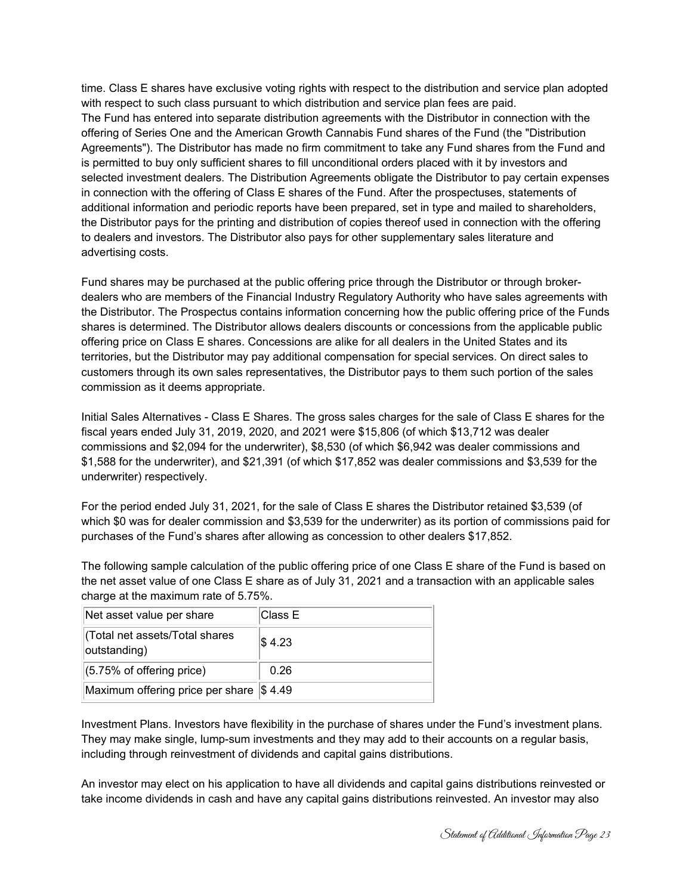time. Class E shares have exclusive voting rights with respect to the distribution and service plan adopted with respect to such class pursuant to which distribution and service plan fees are paid. The Fund has entered into separate distribution agreements with the Distributor in connection with the offering of Series One and the American Growth Cannabis Fund shares of the Fund (the "Distribution Agreements"). The Distributor has made no firm commitment to take any Fund shares from the Fund and is permitted to buy only sufficient shares to fill unconditional orders placed with it by investors and selected investment dealers. The Distribution Agreements obligate the Distributor to pay certain expenses in connection with the offering of Class E shares of the Fund. After the prospectuses, statements of additional information and periodic reports have been prepared, set in type and mailed to shareholders, the Distributor pays for the printing and distribution of copies thereof used in connection with the offering to dealers and investors. The Distributor also pays for other supplementary sales literature and advertising costs.

Fund shares may be purchased at the public offering price through the Distributor or through brokerdealers who are members of the Financial Industry Regulatory Authority who have sales agreements with the Distributor. The Prospectus contains information concerning how the public offering price of the Funds shares is determined. The Distributor allows dealers discounts or concessions from the applicable public offering price on Class E shares. Concessions are alike for all dealers in the United States and its territories, but the Distributor may pay additional compensation for special services. On direct sales to customers through its own sales representatives, the Distributor pays to them such portion of the sales commission as it deems appropriate.

Initial Sales Alternatives - Class E Shares. The gross sales charges for the sale of Class E shares for the fiscal years ended July 31, 2019, 2020, and 2021 were \$15,806 (of which \$13,712 was dealer commissions and \$2,094 for the underwriter), \$8,530 (of which \$6,942 was dealer commissions and \$1,588 for the underwriter), and \$21,391 (of which \$17,852 was dealer commissions and \$3,539 for the underwriter) respectively.

For the period ended July 31, 2021, for the sale of Class E shares the Distributor retained \$3,539 (of which \$0 was for dealer commission and \$3,539 for the underwriter) as its portion of commissions paid for purchases of the Fund's shares after allowing as concession to other dealers \$17,852.

The following sample calculation of the public offering price of one Class E share of the Fund is based on the net asset value of one Class E share as of July 31, 2021 and a transaction with an applicable sales charge at the maximum rate of 5.75%.

| Net asset value per share                      | Class E |
|------------------------------------------------|---------|
| (Total net assets/Total shares<br>outstanding) | \$4.23  |
| $(5.75\% \text{ of offering price})$           | 0.26    |
| Maximum offering price per share \$ 4.49       |         |

Investment Plans. Investors have flexibility in the purchase of shares under the Fund's investment plans. They may make single, lump-sum investments and they may add to their accounts on a regular basis, including through reinvestment of dividends and capital gains distributions.

An investor may elect on his application to have all dividends and capital gains distributions reinvested or take income dividends in cash and have any capital gains distributions reinvested. An investor may also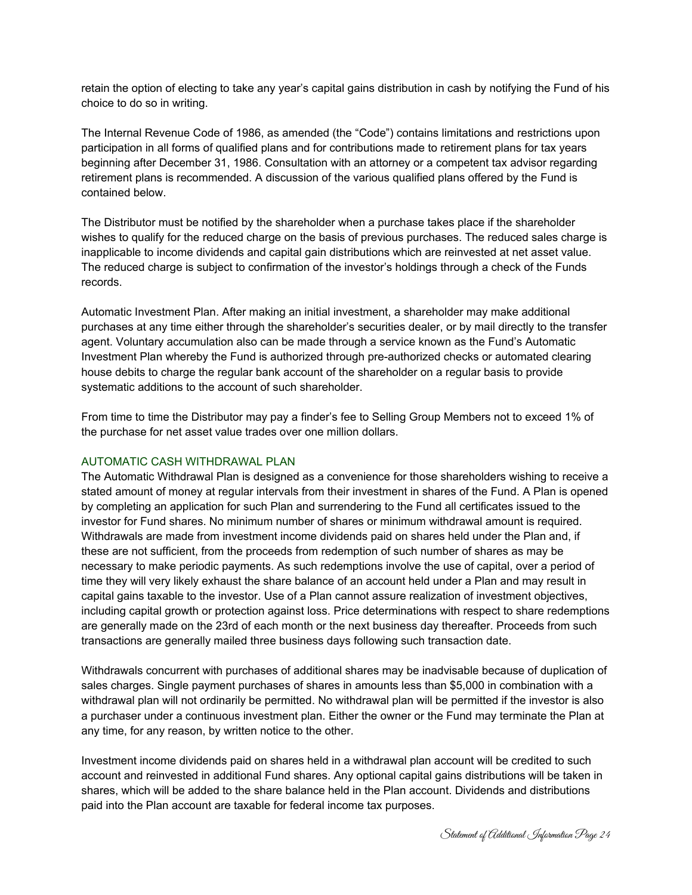retain the option of electing to take any year's capital gains distribution in cash by notifying the Fund of his choice to do so in writing.

The Internal Revenue Code of 1986, as amended (the "Code") contains limitations and restrictions upon participation in all forms of qualified plans and for contributions made to retirement plans for tax years beginning after December 31, 1986. Consultation with an attorney or a competent tax advisor regarding retirement plans is recommended. A discussion of the various qualified plans offered by the Fund is contained below.

The Distributor must be notified by the shareholder when a purchase takes place if the shareholder wishes to qualify for the reduced charge on the basis of previous purchases. The reduced sales charge is inapplicable to income dividends and capital gain distributions which are reinvested at net asset value. The reduced charge is subject to confirmation of the investor's holdings through a check of the Funds records.

Automatic Investment Plan. After making an initial investment, a shareholder may make additional purchases at any time either through the shareholder's securities dealer, or by mail directly to the transfer agent. Voluntary accumulation also can be made through a service known as the Fund's Automatic Investment Plan whereby the Fund is authorized through pre-authorized checks or automated clearing house debits to charge the regular bank account of the shareholder on a regular basis to provide systematic additions to the account of such shareholder.

From time to time the Distributor may pay a finder's fee to Selling Group Members not to exceed 1% of the purchase for net asset value trades over one million dollars.

## AUTOMATIC CASH WITHDRAWAL PLAN

The Automatic Withdrawal Plan is designed as a convenience for those shareholders wishing to receive a stated amount of money at regular intervals from their investment in shares of the Fund. A Plan is opened by completing an application for such Plan and surrendering to the Fund all certificates issued to the investor for Fund shares. No minimum number of shares or minimum withdrawal amount is required. Withdrawals are made from investment income dividends paid on shares held under the Plan and, if these are not sufficient, from the proceeds from redemption of such number of shares as may be necessary to make periodic payments. As such redemptions involve the use of capital, over a period of time they will very likely exhaust the share balance of an account held under a Plan and may result in capital gains taxable to the investor. Use of a Plan cannot assure realization of investment objectives, including capital growth or protection against loss. Price determinations with respect to share redemptions are generally made on the 23rd of each month or the next business day thereafter. Proceeds from such transactions are generally mailed three business days following such transaction date.

Withdrawals concurrent with purchases of additional shares may be inadvisable because of duplication of sales charges. Single payment purchases of shares in amounts less than \$5,000 in combination with a withdrawal plan will not ordinarily be permitted. No withdrawal plan will be permitted if the investor is also a purchaser under a continuous investment plan. Either the owner or the Fund may terminate the Plan at any time, for any reason, by written notice to the other.

Investment income dividends paid on shares held in a withdrawal plan account will be credited to such account and reinvested in additional Fund shares. Any optional capital gains distributions will be taken in shares, which will be added to the share balance held in the Plan account. Dividends and distributions paid into the Plan account are taxable for federal income tax purposes.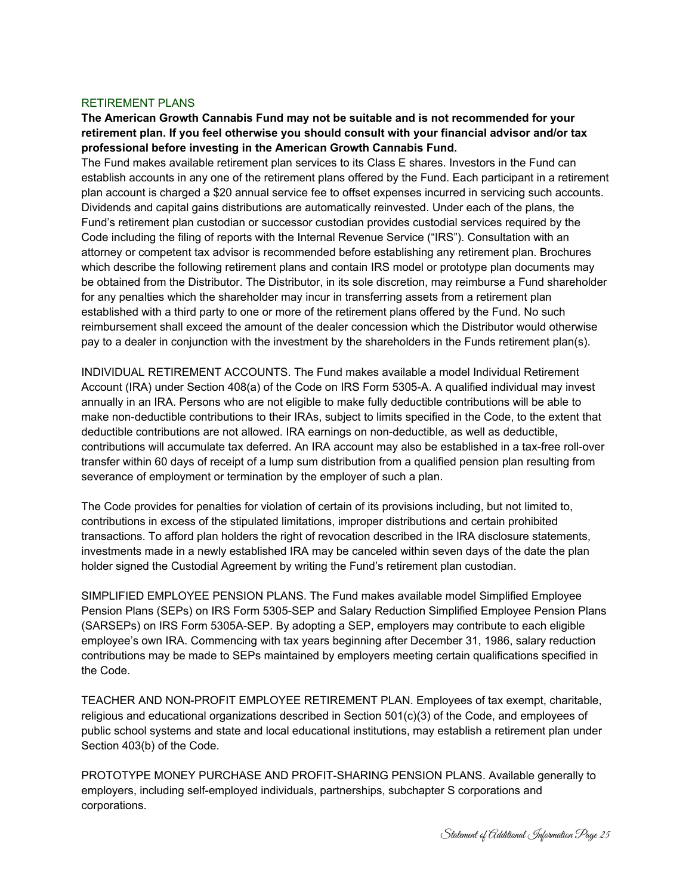#### RETIREMENT PLANS

**The American Growth Cannabis Fund may not be suitable and is not recommended for your retirement plan. If you feel otherwise you should consult with your financial advisor and/or tax professional before investing in the American Growth Cannabis Fund.** 

The Fund makes available retirement plan services to its Class E shares. Investors in the Fund can establish accounts in any one of the retirement plans offered by the Fund. Each participant in a retirement plan account is charged a \$20 annual service fee to offset expenses incurred in servicing such accounts. Dividends and capital gains distributions are automatically reinvested. Under each of the plans, the Fund's retirement plan custodian or successor custodian provides custodial services required by the Code including the filing of reports with the Internal Revenue Service ("IRS"). Consultation with an attorney or competent tax advisor is recommended before establishing any retirement plan. Brochures which describe the following retirement plans and contain IRS model or prototype plan documents may be obtained from the Distributor. The Distributor, in its sole discretion, may reimburse a Fund shareholder for any penalties which the shareholder may incur in transferring assets from a retirement plan established with a third party to one or more of the retirement plans offered by the Fund. No such reimbursement shall exceed the amount of the dealer concession which the Distributor would otherwise pay to a dealer in conjunction with the investment by the shareholders in the Funds retirement plan(s).

INDIVIDUAL RETIREMENT ACCOUNTS. The Fund makes available a model Individual Retirement Account (IRA) under Section 408(a) of the Code on IRS Form 5305-A. A qualified individual may invest annually in an IRA. Persons who are not eligible to make fully deductible contributions will be able to make non-deductible contributions to their IRAs, subject to limits specified in the Code, to the extent that deductible contributions are not allowed. IRA earnings on non-deductible, as well as deductible, contributions will accumulate tax deferred. An IRA account may also be established in a tax-free roll-over transfer within 60 days of receipt of a lump sum distribution from a qualified pension plan resulting from severance of employment or termination by the employer of such a plan.

The Code provides for penalties for violation of certain of its provisions including, but not limited to, contributions in excess of the stipulated limitations, improper distributions and certain prohibited transactions. To afford plan holders the right of revocation described in the IRA disclosure statements, investments made in a newly established IRA may be canceled within seven days of the date the plan holder signed the Custodial Agreement by writing the Fund's retirement plan custodian.

SIMPLIFIED EMPLOYEE PENSION PLANS. The Fund makes available model Simplified Employee Pension Plans (SEPs) on IRS Form 5305-SEP and Salary Reduction Simplified Employee Pension Plans (SARSEPs) on IRS Form 5305A-SEP. By adopting a SEP, employers may contribute to each eligible employee's own IRA. Commencing with tax years beginning after December 31, 1986, salary reduction contributions may be made to SEPs maintained by employers meeting certain qualifications specified in the Code.

TEACHER AND NON-PROFIT EMPLOYEE RETIREMENT PLAN. Employees of tax exempt, charitable, religious and educational organizations described in Section 501(c)(3) of the Code, and employees of public school systems and state and local educational institutions, may establish a retirement plan under Section 403(b) of the Code.

PROTOTYPE MONEY PURCHASE AND PROFIT-SHARING PENSION PLANS. Available generally to employers, including self-employed individuals, partnerships, subchapter S corporations and corporations.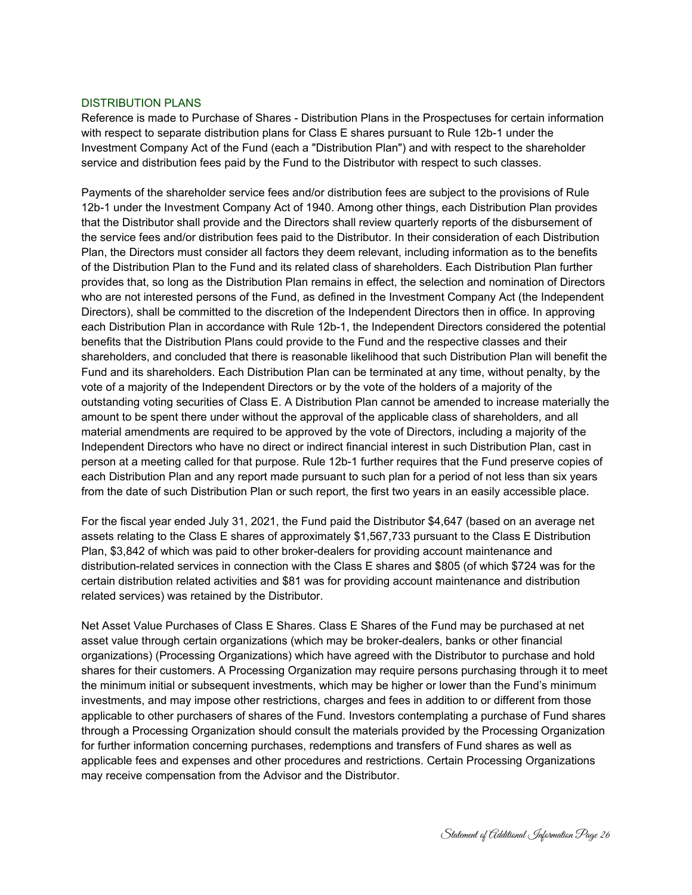#### DISTRIBUTION PLANS

Reference is made to Purchase of Shares - Distribution Plans in the Prospectuses for certain information with respect to separate distribution plans for Class E shares pursuant to Rule 12b-1 under the Investment Company Act of the Fund (each a "Distribution Plan") and with respect to the shareholder service and distribution fees paid by the Fund to the Distributor with respect to such classes.

Payments of the shareholder service fees and/or distribution fees are subject to the provisions of Rule 12b-1 under the Investment Company Act of 1940. Among other things, each Distribution Plan provides that the Distributor shall provide and the Directors shall review quarterly reports of the disbursement of the service fees and/or distribution fees paid to the Distributor. In their consideration of each Distribution Plan, the Directors must consider all factors they deem relevant, including information as to the benefits of the Distribution Plan to the Fund and its related class of shareholders. Each Distribution Plan further provides that, so long as the Distribution Plan remains in effect, the selection and nomination of Directors who are not interested persons of the Fund, as defined in the Investment Company Act (the Independent Directors), shall be committed to the discretion of the Independent Directors then in office. In approving each Distribution Plan in accordance with Rule 12b-1, the Independent Directors considered the potential benefits that the Distribution Plans could provide to the Fund and the respective classes and their shareholders, and concluded that there is reasonable likelihood that such Distribution Plan will benefit the Fund and its shareholders. Each Distribution Plan can be terminated at any time, without penalty, by the vote of a majority of the Independent Directors or by the vote of the holders of a majority of the outstanding voting securities of Class E. A Distribution Plan cannot be amended to increase materially the amount to be spent there under without the approval of the applicable class of shareholders, and all material amendments are required to be approved by the vote of Directors, including a majority of the Independent Directors who have no direct or indirect financial interest in such Distribution Plan, cast in person at a meeting called for that purpose. Rule 12b-1 further requires that the Fund preserve copies of each Distribution Plan and any report made pursuant to such plan for a period of not less than six years from the date of such Distribution Plan or such report, the first two years in an easily accessible place.

For the fiscal year ended July 31, 2021, the Fund paid the Distributor \$4,647 (based on an average net assets relating to the Class E shares of approximately \$1,567,733 pursuant to the Class E Distribution Plan, \$3,842 of which was paid to other broker-dealers for providing account maintenance and distribution-related services in connection with the Class E shares and \$805 (of which \$724 was for the certain distribution related activities and \$81 was for providing account maintenance and distribution related services) was retained by the Distributor.

Net Asset Value Purchases of Class E Shares. Class E Shares of the Fund may be purchased at net asset value through certain organizations (which may be broker-dealers, banks or other financial organizations) (Processing Organizations) which have agreed with the Distributor to purchase and hold shares for their customers. A Processing Organization may require persons purchasing through it to meet the minimum initial or subsequent investments, which may be higher or lower than the Fund's minimum investments, and may impose other restrictions, charges and fees in addition to or different from those applicable to other purchasers of shares of the Fund. Investors contemplating a purchase of Fund shares through a Processing Organization should consult the materials provided by the Processing Organization for further information concerning purchases, redemptions and transfers of Fund shares as well as applicable fees and expenses and other procedures and restrictions. Certain Processing Organizations may receive compensation from the Advisor and the Distributor.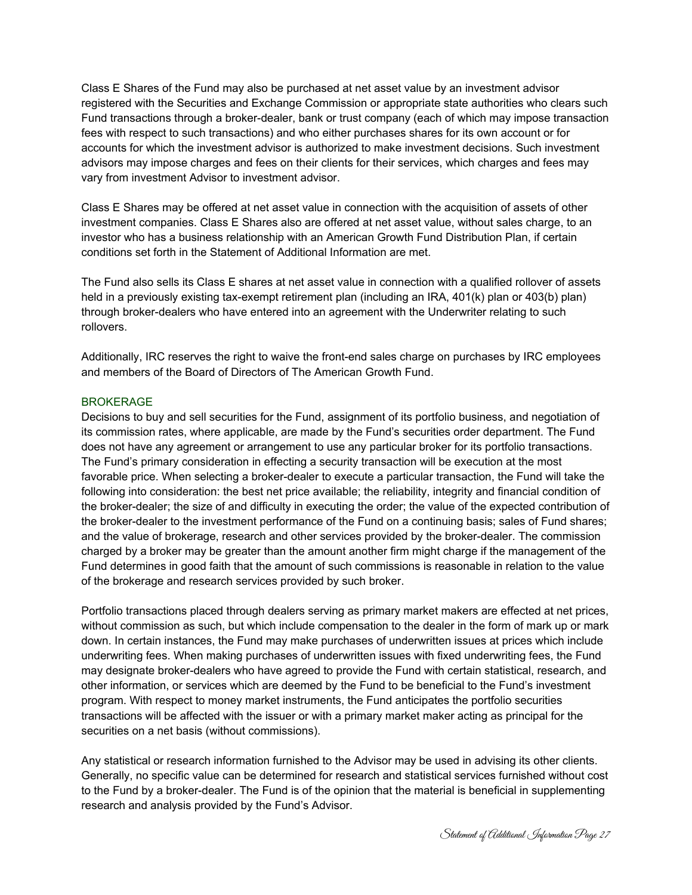Class E Shares of the Fund may also be purchased at net asset value by an investment advisor registered with the Securities and Exchange Commission or appropriate state authorities who clears such Fund transactions through a broker-dealer, bank or trust company (each of which may impose transaction fees with respect to such transactions) and who either purchases shares for its own account or for accounts for which the investment advisor is authorized to make investment decisions. Such investment advisors may impose charges and fees on their clients for their services, which charges and fees may vary from investment Advisor to investment advisor.

Class E Shares may be offered at net asset value in connection with the acquisition of assets of other investment companies. Class E Shares also are offered at net asset value, without sales charge, to an investor who has a business relationship with an American Growth Fund Distribution Plan, if certain conditions set forth in the Statement of Additional Information are met.

The Fund also sells its Class E shares at net asset value in connection with a qualified rollover of assets held in a previously existing tax-exempt retirement plan (including an IRA, 401(k) plan or 403(b) plan) through broker-dealers who have entered into an agreement with the Underwriter relating to such rollovers.

Additionally, IRC reserves the right to waive the front-end sales charge on purchases by IRC employees and members of the Board of Directors of The American Growth Fund.

## BROKERAGE

Decisions to buy and sell securities for the Fund, assignment of its portfolio business, and negotiation of its commission rates, where applicable, are made by the Fund's securities order department. The Fund does not have any agreement or arrangement to use any particular broker for its portfolio transactions. The Fund's primary consideration in effecting a security transaction will be execution at the most favorable price. When selecting a broker-dealer to execute a particular transaction, the Fund will take the following into consideration: the best net price available; the reliability, integrity and financial condition of the broker-dealer; the size of and difficulty in executing the order; the value of the expected contribution of the broker-dealer to the investment performance of the Fund on a continuing basis; sales of Fund shares; and the value of brokerage, research and other services provided by the broker-dealer. The commission charged by a broker may be greater than the amount another firm might charge if the management of the Fund determines in good faith that the amount of such commissions is reasonable in relation to the value of the brokerage and research services provided by such broker.

Portfolio transactions placed through dealers serving as primary market makers are effected at net prices, without commission as such, but which include compensation to the dealer in the form of mark up or mark down. In certain instances, the Fund may make purchases of underwritten issues at prices which include underwriting fees. When making purchases of underwritten issues with fixed underwriting fees, the Fund may designate broker-dealers who have agreed to provide the Fund with certain statistical, research, and other information, or services which are deemed by the Fund to be beneficial to the Fund's investment program. With respect to money market instruments, the Fund anticipates the portfolio securities transactions will be affected with the issuer or with a primary market maker acting as principal for the securities on a net basis (without commissions).

Any statistical or research information furnished to the Advisor may be used in advising its other clients. Generally, no specific value can be determined for research and statistical services furnished without cost to the Fund by a broker-dealer. The Fund is of the opinion that the material is beneficial in supplementing research and analysis provided by the Fund's Advisor.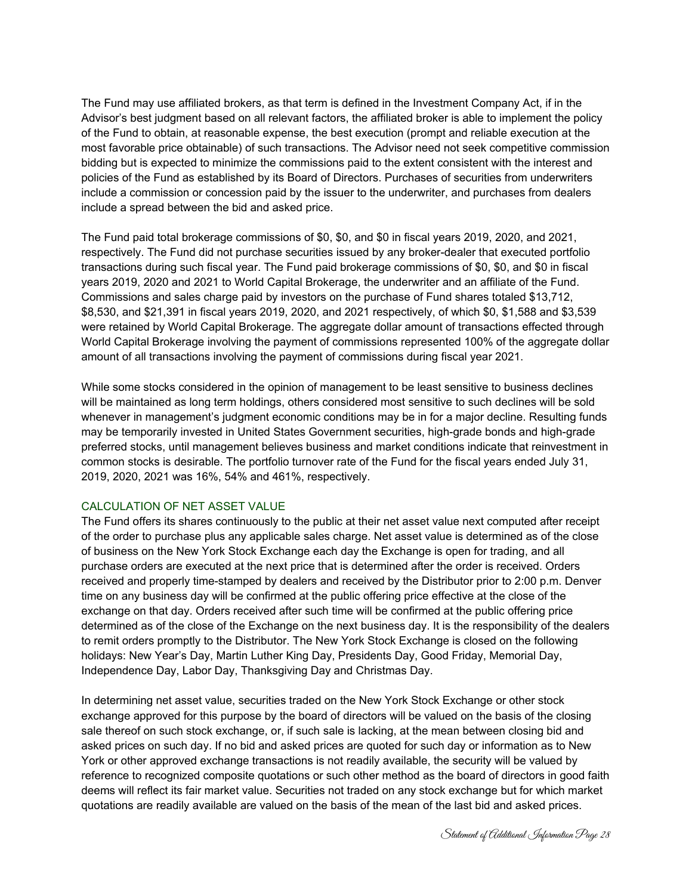The Fund may use affiliated brokers, as that term is defined in the Investment Company Act, if in the Advisor's best judgment based on all relevant factors, the affiliated broker is able to implement the policy of the Fund to obtain, at reasonable expense, the best execution (prompt and reliable execution at the most favorable price obtainable) of such transactions. The Advisor need not seek competitive commission bidding but is expected to minimize the commissions paid to the extent consistent with the interest and policies of the Fund as established by its Board of Directors. Purchases of securities from underwriters include a commission or concession paid by the issuer to the underwriter, and purchases from dealers include a spread between the bid and asked price.

The Fund paid total brokerage commissions of \$0, \$0, and \$0 in fiscal years 2019, 2020, and 2021, respectively. The Fund did not purchase securities issued by any broker-dealer that executed portfolio transactions during such fiscal year. The Fund paid brokerage commissions of \$0, \$0, and \$0 in fiscal years 2019, 2020 and 2021 to World Capital Brokerage, the underwriter and an affiliate of the Fund. Commissions and sales charge paid by investors on the purchase of Fund shares totaled \$13,712, \$8,530, and \$21,391 in fiscal years 2019, 2020, and 2021 respectively, of which \$0, \$1,588 and \$3,539 were retained by World Capital Brokerage. The aggregate dollar amount of transactions effected through World Capital Brokerage involving the payment of commissions represented 100% of the aggregate dollar amount of all transactions involving the payment of commissions during fiscal year 2021.

While some stocks considered in the opinion of management to be least sensitive to business declines will be maintained as long term holdings, others considered most sensitive to such declines will be sold whenever in management's judgment economic conditions may be in for a major decline. Resulting funds may be temporarily invested in United States Government securities, high-grade bonds and high-grade preferred stocks, until management believes business and market conditions indicate that reinvestment in common stocks is desirable. The portfolio turnover rate of the Fund for the fiscal years ended July 31, 2019, 2020, 2021 was 16%, 54% and 461%, respectively.

## CALCULATION OF NET ASSET VALUE

The Fund offers its shares continuously to the public at their net asset value next computed after receipt of the order to purchase plus any applicable sales charge. Net asset value is determined as of the close of business on the New York Stock Exchange each day the Exchange is open for trading, and all purchase orders are executed at the next price that is determined after the order is received. Orders received and properly time-stamped by dealers and received by the Distributor prior to 2:00 p.m. Denver time on any business day will be confirmed at the public offering price effective at the close of the exchange on that day. Orders received after such time will be confirmed at the public offering price determined as of the close of the Exchange on the next business day. It is the responsibility of the dealers to remit orders promptly to the Distributor. The New York Stock Exchange is closed on the following holidays: New Year's Day, Martin Luther King Day, Presidents Day, Good Friday, Memorial Day, Independence Day, Labor Day, Thanksgiving Day and Christmas Day.

In determining net asset value, securities traded on the New York Stock Exchange or other stock exchange approved for this purpose by the board of directors will be valued on the basis of the closing sale thereof on such stock exchange, or, if such sale is lacking, at the mean between closing bid and asked prices on such day. If no bid and asked prices are quoted for such day or information as to New York or other approved exchange transactions is not readily available, the security will be valued by reference to recognized composite quotations or such other method as the board of directors in good faith deems will reflect its fair market value. Securities not traded on any stock exchange but for which market quotations are readily available are valued on the basis of the mean of the last bid and asked prices.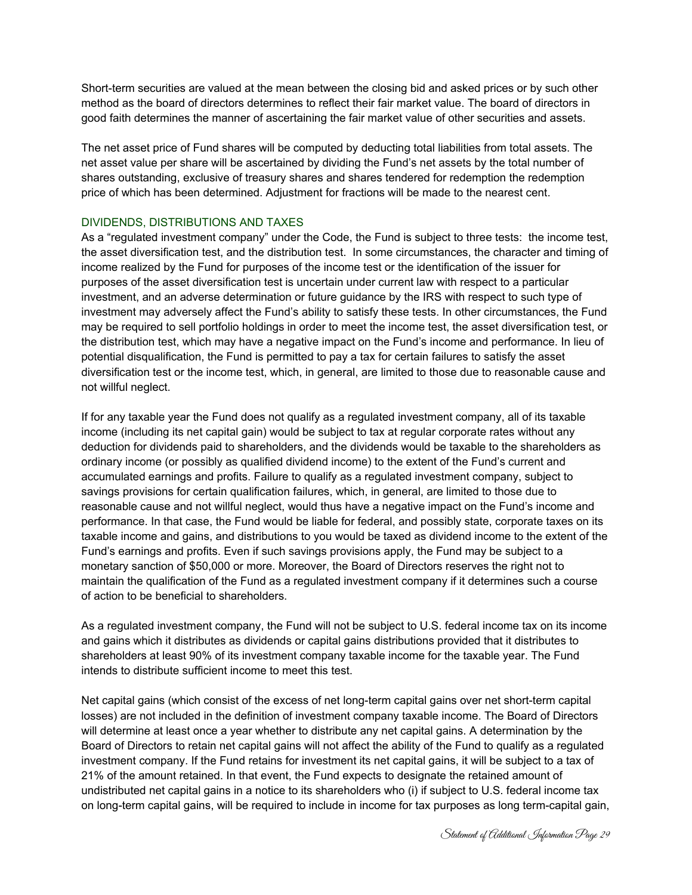Short-term securities are valued at the mean between the closing bid and asked prices or by such other method as the board of directors determines to reflect their fair market value. The board of directors in good faith determines the manner of ascertaining the fair market value of other securities and assets.

The net asset price of Fund shares will be computed by deducting total liabilities from total assets. The net asset value per share will be ascertained by dividing the Fund's net assets by the total number of shares outstanding, exclusive of treasury shares and shares tendered for redemption the redemption price of which has been determined. Adjustment for fractions will be made to the nearest cent.

## DIVIDENDS, DISTRIBUTIONS AND TAXES

As a "regulated investment company" under the Code, the Fund is subject to three tests: the income test, the asset diversification test, and the distribution test. In some circumstances, the character and timing of income realized by the Fund for purposes of the income test or the identification of the issuer for purposes of the asset diversification test is uncertain under current law with respect to a particular investment, and an adverse determination or future guidance by the IRS with respect to such type of investment may adversely affect the Fund's ability to satisfy these tests. In other circumstances, the Fund may be required to sell portfolio holdings in order to meet the income test, the asset diversification test, or the distribution test, which may have a negative impact on the Fund's income and performance. In lieu of potential disqualification, the Fund is permitted to pay a tax for certain failures to satisfy the asset diversification test or the income test, which, in general, are limited to those due to reasonable cause and not willful neglect.

If for any taxable year the Fund does not qualify as a regulated investment company, all of its taxable income (including its net capital gain) would be subject to tax at regular corporate rates without any deduction for dividends paid to shareholders, and the dividends would be taxable to the shareholders as ordinary income (or possibly as qualified dividend income) to the extent of the Fund's current and accumulated earnings and profits. Failure to qualify as a regulated investment company, subject to savings provisions for certain qualification failures, which, in general, are limited to those due to reasonable cause and not willful neglect, would thus have a negative impact on the Fund's income and performance. In that case, the Fund would be liable for federal, and possibly state, corporate taxes on its taxable income and gains, and distributions to you would be taxed as dividend income to the extent of the Fund's earnings and profits. Even if such savings provisions apply, the Fund may be subject to a monetary sanction of \$50,000 or more. Moreover, the Board of Directors reserves the right not to maintain the qualification of the Fund as a regulated investment company if it determines such a course of action to be beneficial to shareholders.

As a regulated investment company, the Fund will not be subject to U.S. federal income tax on its income and gains which it distributes as dividends or capital gains distributions provided that it distributes to shareholders at least 90% of its investment company taxable income for the taxable year. The Fund intends to distribute sufficient income to meet this test.

Net capital gains (which consist of the excess of net long-term capital gains over net short-term capital losses) are not included in the definition of investment company taxable income. The Board of Directors will determine at least once a year whether to distribute any net capital gains. A determination by the Board of Directors to retain net capital gains will not affect the ability of the Fund to qualify as a regulated investment company. If the Fund retains for investment its net capital gains, it will be subject to a tax of 21% of the amount retained. In that event, the Fund expects to designate the retained amount of undistributed net capital gains in a notice to its shareholders who (i) if subject to U.S. federal income tax on long-term capital gains, will be required to include in income for tax purposes as long term-capital gain,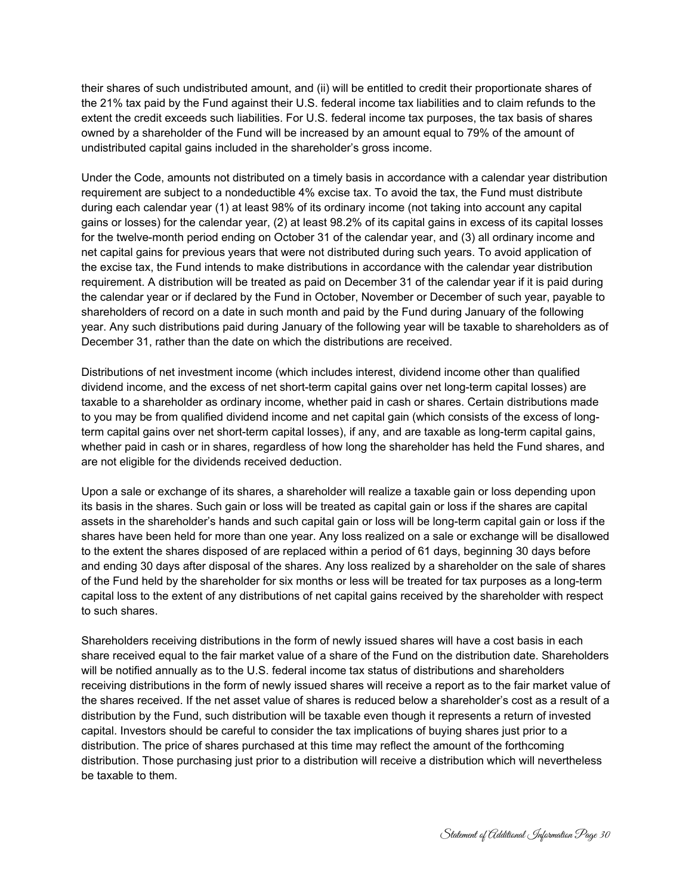their shares of such undistributed amount, and (ii) will be entitled to credit their proportionate shares of the 21% tax paid by the Fund against their U.S. federal income tax liabilities and to claim refunds to the extent the credit exceeds such liabilities. For U.S. federal income tax purposes, the tax basis of shares owned by a shareholder of the Fund will be increased by an amount equal to 79% of the amount of undistributed capital gains included in the shareholder's gross income.

Under the Code, amounts not distributed on a timely basis in accordance with a calendar year distribution requirement are subject to a nondeductible 4% excise tax. To avoid the tax, the Fund must distribute during each calendar year (1) at least 98% of its ordinary income (not taking into account any capital gains or losses) for the calendar year, (2) at least 98.2% of its capital gains in excess of its capital losses for the twelve-month period ending on October 31 of the calendar year, and (3) all ordinary income and net capital gains for previous years that were not distributed during such years. To avoid application of the excise tax, the Fund intends to make distributions in accordance with the calendar year distribution requirement. A distribution will be treated as paid on December 31 of the calendar year if it is paid during the calendar year or if declared by the Fund in October, November or December of such year, payable to shareholders of record on a date in such month and paid by the Fund during January of the following year. Any such distributions paid during January of the following year will be taxable to shareholders as of December 31, rather than the date on which the distributions are received.

Distributions of net investment income (which includes interest, dividend income other than qualified dividend income, and the excess of net short-term capital gains over net long-term capital losses) are taxable to a shareholder as ordinary income, whether paid in cash or shares. Certain distributions made to you may be from qualified dividend income and net capital gain (which consists of the excess of longterm capital gains over net short-term capital losses), if any, and are taxable as long-term capital gains, whether paid in cash or in shares, regardless of how long the shareholder has held the Fund shares, and are not eligible for the dividends received deduction.

Upon a sale or exchange of its shares, a shareholder will realize a taxable gain or loss depending upon its basis in the shares. Such gain or loss will be treated as capital gain or loss if the shares are capital assets in the shareholder's hands and such capital gain or loss will be long-term capital gain or loss if the shares have been held for more than one year. Any loss realized on a sale or exchange will be disallowed to the extent the shares disposed of are replaced within a period of 61 days, beginning 30 days before and ending 30 days after disposal of the shares. Any loss realized by a shareholder on the sale of shares of the Fund held by the shareholder for six months or less will be treated for tax purposes as a long-term capital loss to the extent of any distributions of net capital gains received by the shareholder with respect to such shares.

Shareholders receiving distributions in the form of newly issued shares will have a cost basis in each share received equal to the fair market value of a share of the Fund on the distribution date. Shareholders will be notified annually as to the U.S. federal income tax status of distributions and shareholders receiving distributions in the form of newly issued shares will receive a report as to the fair market value of the shares received. If the net asset value of shares is reduced below a shareholder's cost as a result of a distribution by the Fund, such distribution will be taxable even though it represents a return of invested capital. Investors should be careful to consider the tax implications of buying shares just prior to a distribution. The price of shares purchased at this time may reflect the amount of the forthcoming distribution. Those purchasing just prior to a distribution will receive a distribution which will nevertheless be taxable to them.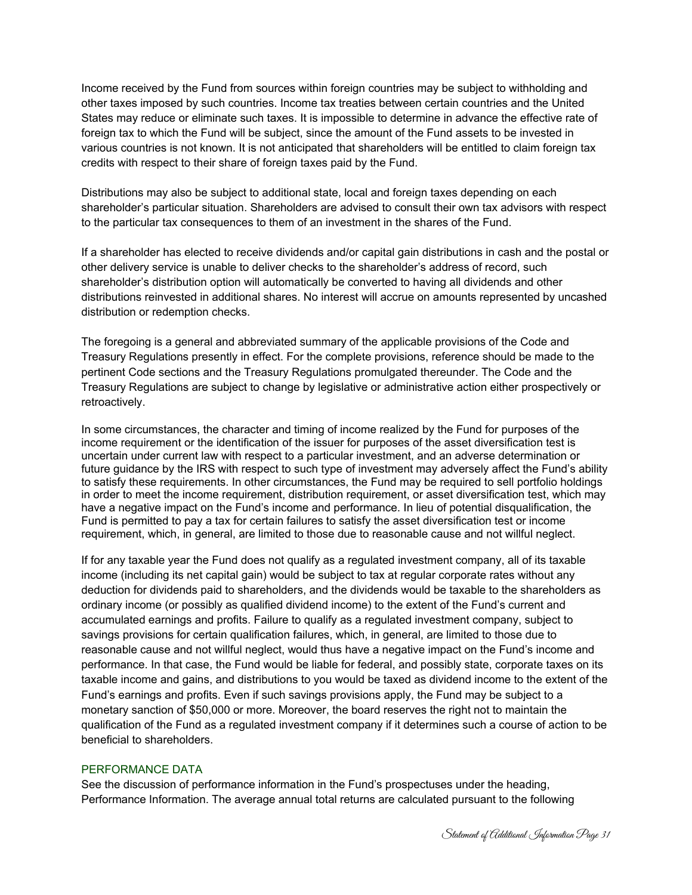Income received by the Fund from sources within foreign countries may be subject to withholding and other taxes imposed by such countries. Income tax treaties between certain countries and the United States may reduce or eliminate such taxes. It is impossible to determine in advance the effective rate of foreign tax to which the Fund will be subject, since the amount of the Fund assets to be invested in various countries is not known. It is not anticipated that shareholders will be entitled to claim foreign tax credits with respect to their share of foreign taxes paid by the Fund.

Distributions may also be subject to additional state, local and foreign taxes depending on each shareholder's particular situation. Shareholders are advised to consult their own tax advisors with respect to the particular tax consequences to them of an investment in the shares of the Fund.

If a shareholder has elected to receive dividends and/or capital gain distributions in cash and the postal or other delivery service is unable to deliver checks to the shareholder's address of record, such shareholder's distribution option will automatically be converted to having all dividends and other distributions reinvested in additional shares. No interest will accrue on amounts represented by uncashed distribution or redemption checks.

The foregoing is a general and abbreviated summary of the applicable provisions of the Code and Treasury Regulations presently in effect. For the complete provisions, reference should be made to the pertinent Code sections and the Treasury Regulations promulgated thereunder. The Code and the Treasury Regulations are subject to change by legislative or administrative action either prospectively or retroactively.

In some circumstances, the character and timing of income realized by the Fund for purposes of the income requirement or the identification of the issuer for purposes of the asset diversification test is uncertain under current law with respect to a particular investment, and an adverse determination or future guidance by the IRS with respect to such type of investment may adversely affect the Fund's ability to satisfy these requirements. In other circumstances, the Fund may be required to sell portfolio holdings in order to meet the income requirement, distribution requirement, or asset diversification test, which may have a negative impact on the Fund's income and performance. In lieu of potential disqualification, the Fund is permitted to pay a tax for certain failures to satisfy the asset diversification test or income requirement, which, in general, are limited to those due to reasonable cause and not willful neglect.

If for any taxable year the Fund does not qualify as a regulated investment company, all of its taxable income (including its net capital gain) would be subject to tax at regular corporate rates without any deduction for dividends paid to shareholders, and the dividends would be taxable to the shareholders as ordinary income (or possibly as qualified dividend income) to the extent of the Fund's current and accumulated earnings and profits. Failure to qualify as a regulated investment company, subject to savings provisions for certain qualification failures, which, in general, are limited to those due to reasonable cause and not willful neglect, would thus have a negative impact on the Fund's income and performance. In that case, the Fund would be liable for federal, and possibly state, corporate taxes on its taxable income and gains, and distributions to you would be taxed as dividend income to the extent of the Fund's earnings and profits. Even if such savings provisions apply, the Fund may be subject to a monetary sanction of \$50,000 or more. Moreover, the board reserves the right not to maintain the qualification of the Fund as a regulated investment company if it determines such a course of action to be beneficial to shareholders.

## PERFORMANCE DATA

See the discussion of performance information in the Fund's prospectuses under the heading, Performance Information. The average annual total returns are calculated pursuant to the following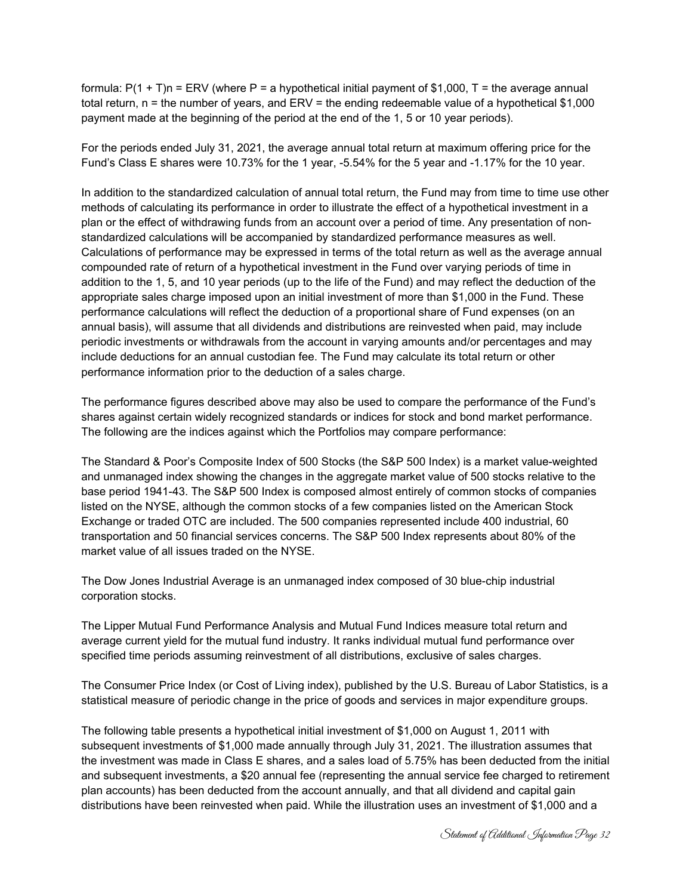formula:  $P(1 + T)n = ERV$  (where P = a hypothetical initial payment of \$1,000, T = the average annual total return, n = the number of years, and ERV = the ending redeemable value of a hypothetical \$1,000 payment made at the beginning of the period at the end of the 1, 5 or 10 year periods).

For the periods ended July 31, 2021, the average annual total return at maximum offering price for the Fund's Class E shares were 10.73% for the 1 year, -5.54% for the 5 year and -1.17% for the 10 year.

In addition to the standardized calculation of annual total return, the Fund may from time to time use other methods of calculating its performance in order to illustrate the effect of a hypothetical investment in a plan or the effect of withdrawing funds from an account over a period of time. Any presentation of nonstandardized calculations will be accompanied by standardized performance measures as well. Calculations of performance may be expressed in terms of the total return as well as the average annual compounded rate of return of a hypothetical investment in the Fund over varying periods of time in addition to the 1, 5, and 10 year periods (up to the life of the Fund) and may reflect the deduction of the appropriate sales charge imposed upon an initial investment of more than \$1,000 in the Fund. These performance calculations will reflect the deduction of a proportional share of Fund expenses (on an annual basis), will assume that all dividends and distributions are reinvested when paid, may include periodic investments or withdrawals from the account in varying amounts and/or percentages and may include deductions for an annual custodian fee. The Fund may calculate its total return or other performance information prior to the deduction of a sales charge.

The performance figures described above may also be used to compare the performance of the Fund's shares against certain widely recognized standards or indices for stock and bond market performance. The following are the indices against which the Portfolios may compare performance:

The Standard & Poor's Composite Index of 500 Stocks (the S&P 500 Index) is a market value-weighted and unmanaged index showing the changes in the aggregate market value of 500 stocks relative to the base period 1941-43. The S&P 500 Index is composed almost entirely of common stocks of companies listed on the NYSE, although the common stocks of a few companies listed on the American Stock Exchange or traded OTC are included. The 500 companies represented include 400 industrial, 60 transportation and 50 financial services concerns. The S&P 500 Index represents about 80% of the market value of all issues traded on the NYSE.

The Dow Jones Industrial Average is an unmanaged index composed of 30 blue-chip industrial corporation stocks.

The Lipper Mutual Fund Performance Analysis and Mutual Fund Indices measure total return and average current yield for the mutual fund industry. It ranks individual mutual fund performance over specified time periods assuming reinvestment of all distributions, exclusive of sales charges.

The Consumer Price Index (or Cost of Living index), published by the U.S. Bureau of Labor Statistics, is a statistical measure of periodic change in the price of goods and services in major expenditure groups.

The following table presents a hypothetical initial investment of \$1,000 on August 1, 2011 with subsequent investments of \$1,000 made annually through July 31, 2021. The illustration assumes that the investment was made in Class E shares, and a sales load of 5.75% has been deducted from the initial and subsequent investments, a \$20 annual fee (representing the annual service fee charged to retirement plan accounts) has been deducted from the account annually, and that all dividend and capital gain distributions have been reinvested when paid. While the illustration uses an investment of \$1,000 and a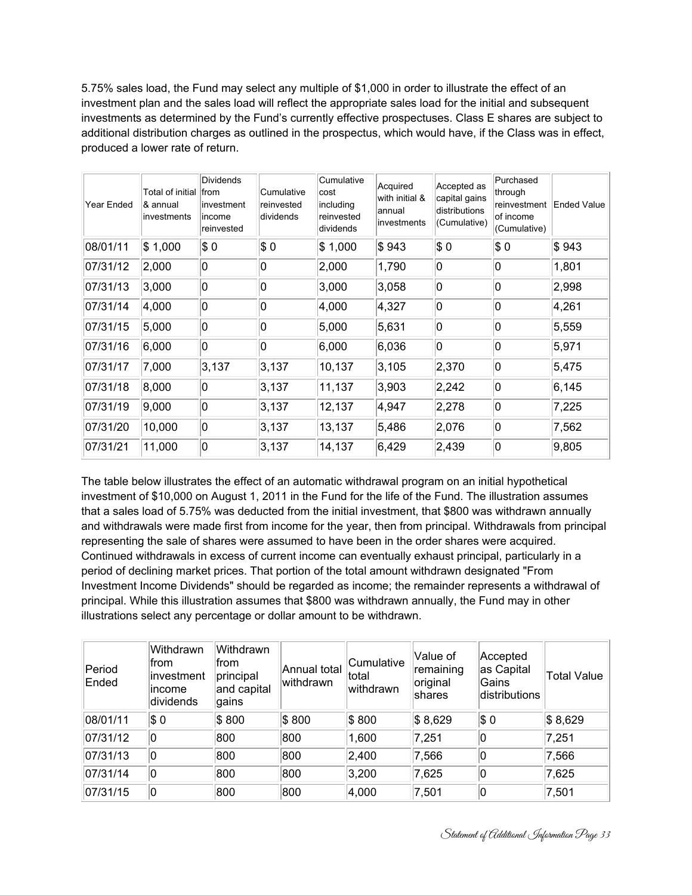5.75% sales load, the Fund may select any multiple of \$1,000 in order to illustrate the effect of an investment plan and the sales load will reflect the appropriate sales load for the initial and subsequent investments as determined by the Fund's currently effective prospectuses. Class E shares are subject to additional distribution charges as outlined in the prospectus, which would have, if the Class was in effect, produced a lower rate of return.

| Year Ended | Total of initial<br>& annual<br>linvestments | <b>Dividends</b><br><b>from</b><br>investment<br>income<br>reinvested | Cumulative<br>reinvested<br>dividends | Cumulative<br>cost<br>including<br>reinvested<br>dividends | Acquired<br>with initial &<br>lannual<br>investments | Accepted as<br>capital gains<br>distributions<br>(Cumulative) | Purchased<br>through<br>reinvestment<br>of income<br>(Cumulative) | Ended Value |
|------------|----------------------------------------------|-----------------------------------------------------------------------|---------------------------------------|------------------------------------------------------------|------------------------------------------------------|---------------------------------------------------------------|-------------------------------------------------------------------|-------------|
| 08/01/11   | \$1,000                                      | $ \$0$                                                                | \$0                                   | \$1,000                                                    | \$943                                                | $ \$0$                                                        | $ \$0$                                                            | \$943       |
| 07/31/12   | 2,000                                        | 0                                                                     | 10                                    | 2,000                                                      | 1,790                                                | 10                                                            | 0                                                                 | 1,801       |
| 07/31/13   | 3,000                                        | 0                                                                     | 0                                     | 3,000                                                      | 3,058                                                | 0                                                             | 0                                                                 | 2,998       |
| 07/31/14   | 4,000                                        | 0                                                                     | 10                                    | 4,000                                                      | 4,327                                                | 0                                                             | 0                                                                 | 4,261       |
| 07/31/15   | 5,000                                        | 0                                                                     | 0                                     | 5,000                                                      | 5,631                                                | 0                                                             | 0                                                                 | 5,559       |
| 07/31/16   | 6,000                                        | 0                                                                     | 10                                    | 6,000                                                      | 6,036                                                | 0                                                             | 0                                                                 | 5,971       |
| 07/31/17   | 7,000                                        | 3,137                                                                 | 3,137                                 | 10,137                                                     | 3,105                                                | 2,370                                                         | 0                                                                 | 5,475       |
| 07/31/18   | 8,000                                        | 10                                                                    | 3,137                                 | 11,137                                                     | 3,903                                                | 2,242                                                         | 0                                                                 | 6,145       |
| 07/31/19   | 9,000                                        | 0                                                                     | 3,137                                 | 12,137                                                     | 4,947                                                | 2,278                                                         | 0                                                                 | 7,225       |
| 07/31/20   | 10,000                                       | 0                                                                     | 3,137                                 | 13,137                                                     | 5,486                                                | 2,076                                                         | 0                                                                 | 7,562       |
| 07/31/21   | 11,000                                       | 0                                                                     | 3,137                                 | 14,137                                                     | 6,429                                                | 2,439                                                         | 0                                                                 | 9,805       |

The table below illustrates the effect of an automatic withdrawal program on an initial hypothetical investment of \$10,000 on August 1, 2011 in the Fund for the life of the Fund. The illustration assumes that a sales load of 5.75% was deducted from the initial investment, that \$800 was withdrawn annually and withdrawals were made first from income for the year, then from principal. Withdrawals from principal representing the sale of shares were assumed to have been in the order shares were acquired. Continued withdrawals in excess of current income can eventually exhaust principal, particularly in a period of declining market prices. That portion of the total amount withdrawn designated "From Investment Income Dividends" should be regarded as income; the remainder represents a withdrawal of principal. While this illustration assumes that \$800 was withdrawn annually, the Fund may in other illustrations select any percentage or dollar amount to be withdrawn.

| Period<br>Ended | Withdrawn<br>from<br>linvestment<br>lincome<br>dividends | Withdrawn<br>from.<br>principal<br>and capital<br>gains | Annual total<br>lwithdrawn | Cumulative<br>total<br>withdrawn | Value of<br>remaining<br>original<br><b>shares</b> | Accepted<br>as Capital<br>Gains<br>distributions | <b>Total Value</b> |
|-----------------|----------------------------------------------------------|---------------------------------------------------------|----------------------------|----------------------------------|----------------------------------------------------|--------------------------------------------------|--------------------|
| 08/01/11        | $ \$0$                                                   | \$800                                                   | \$800                      | \$800                            | \$8,629                                            | $ \$0$                                           | \$8,629            |
| 07/31/12        | 10                                                       | 800                                                     | 800                        | 1,600                            | 7,251                                              | ۱0                                               | 7,251              |
| 07/31/13        | 10                                                       | 800                                                     | 800                        | 2,400                            | 7,566                                              | ۱0                                               | 7,566              |
| 07/31/14        | 10                                                       | 800                                                     | 800                        | 3,200                            | 7,625                                              | ۱0                                               | 7,625              |
| 07/31/15        | 10                                                       | 800                                                     | 800                        | 4,000                            | 7,501                                              | ۱0                                               | 7,501              |